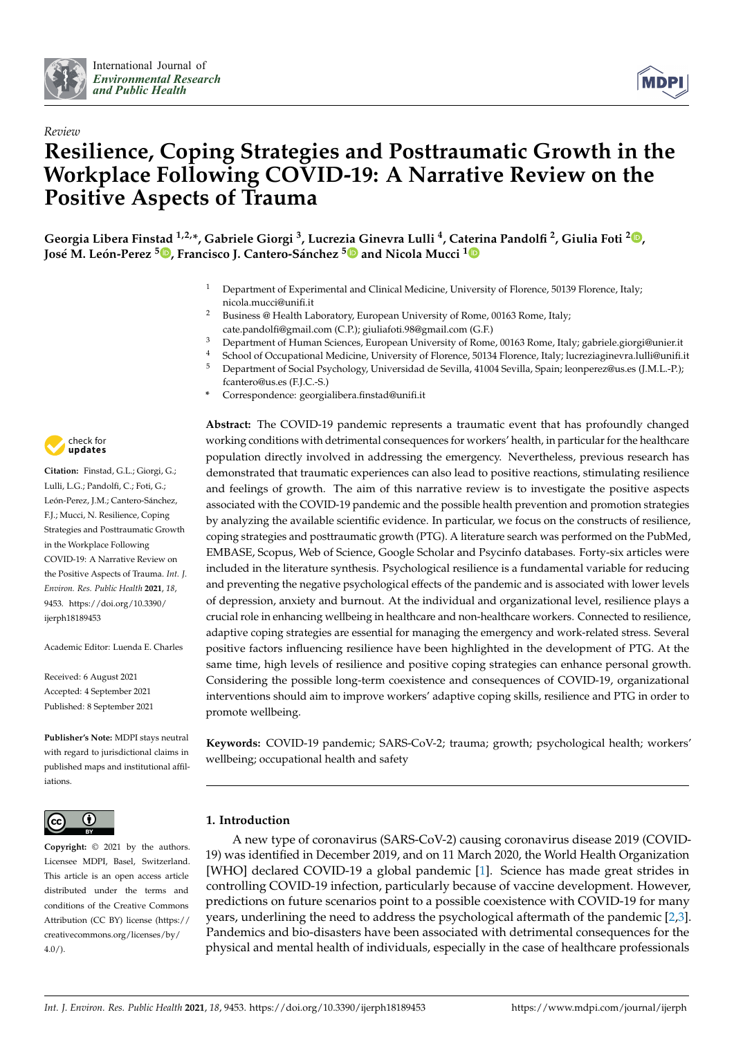



# *Review* **Resilience, Coping Strategies and Posttraumatic Growth in the Workplace Following COVID-19: A Narrative Review on the Positive Aspects of Trauma**

**Georgia Libera Finstad 1,2,\*, Gabriele Giorgi <sup>3</sup> , Lucrezia Ginevra Lulli <sup>4</sup> , Caterina Pandolfi <sup>2</sup> , Giulia Foti <sup>2</sup> [,](https://orcid.org/0000-0002-1496-2054) José M. León-Perez <sup>5</sup> [,](https://orcid.org/0000-0003-3928-9799) Francisco J. Cantero-Sánchez [5](https://orcid.org/0000-0002-0508-1984) and Nicola Mucci [1](https://orcid.org/0000-0003-0579-1035)**

- <sup>1</sup> Department of Experimental and Clinical Medicine, University of Florence, 50139 Florence, Italy; nicola.mucci@unifi.it
- <sup>2</sup> Business @ Health Laboratory, European University of Rome, 00163 Rome, Italy; cate.pandolfi@gmail.com (C.P.); giuliafoti.98@gmail.com (G.F.)
- <sup>3</sup> Department of Human Sciences, European University of Rome, 00163 Rome, Italy; gabriele.giorgi@unier.it
- <sup>4</sup> School of Occupational Medicine, University of Florence, 50134 Florence, Italy; lucreziaginevra.lulli@unifi.it <sup>5</sup> Department of Social Psychology, Universidad de Sevilla, 41004 Sevilla, Spain; leonperez@us.es (J.M.L.-P.);
- fcantero@us.es (F.J.C.-S.)
- **\*** Correspondence: georgialibera.finstad@unifi.it

**Abstract:** The COVID-19 pandemic represents a traumatic event that has profoundly changed working conditions with detrimental consequences for workers' health, in particular for the healthcare population directly involved in addressing the emergency. Nevertheless, previous research has demonstrated that traumatic experiences can also lead to positive reactions, stimulating resilience and feelings of growth. The aim of this narrative review is to investigate the positive aspects associated with the COVID-19 pandemic and the possible health prevention and promotion strategies by analyzing the available scientific evidence. In particular, we focus on the constructs of resilience, coping strategies and posttraumatic growth (PTG). A literature search was performed on the PubMed, EMBASE, Scopus, Web of Science, Google Scholar and Psycinfo databases. Forty-six articles were included in the literature synthesis. Psychological resilience is a fundamental variable for reducing and preventing the negative psychological effects of the pandemic and is associated with lower levels of depression, anxiety and burnout. At the individual and organizational level, resilience plays a crucial role in enhancing wellbeing in healthcare and non-healthcare workers. Connected to resilience, adaptive coping strategies are essential for managing the emergency and work-related stress. Several positive factors influencing resilience have been highlighted in the development of PTG. At the same time, high levels of resilience and positive coping strategies can enhance personal growth. Considering the possible long-term coexistence and consequences of COVID-19, organizational interventions should aim to improve workers' adaptive coping skills, resilience and PTG in order to promote wellbeing.

**Keywords:** COVID-19 pandemic; SARS-CoV-2; trauma; growth; psychological health; workers' wellbeing; occupational health and safety

# **1. Introduction**

A new type of coronavirus (SARS-CoV-2) causing coronavirus disease 2019 (COVID-19) was identified in December 2019, and on 11 March 2020, the World Health Organization [WHO] declared COVID-19 a global pandemic [\[1\]](#page-19-0). Science has made great strides in controlling COVID-19 infection, particularly because of vaccine development. However, predictions on future scenarios point to a possible coexistence with COVID-19 for many years, underlining the need to address the psychological aftermath of the pandemic [\[2,](#page-19-1)[3\]](#page-19-2). Pandemics and bio-disasters have been associated with detrimental consequences for the physical and mental health of individuals, especially in the case of healthcare professionals



**Citation:** Finstad, G.L.; Giorgi, G.; Lulli, L.G.; Pandolfi, C.; Foti, G.; León-Perez, J.M.; Cantero-Sánchez, F.J.; Mucci, N. Resilience, Coping Strategies and Posttraumatic Growth in the Workplace Following COVID-19: A Narrative Review on the Positive Aspects of Trauma. *Int. J. Environ. Res. Public Health* **2021**, *18*, 9453. [https://doi.org/10.3390/](https://doi.org/10.3390/ijerph18189453) [ijerph18189453](https://doi.org/10.3390/ijerph18189453)

Academic Editor: Luenda E. Charles

Received: 6 August 2021 Accepted: 4 September 2021 Published: 8 September 2021

**Publisher's Note:** MDPI stays neutral with regard to jurisdictional claims in published maps and institutional affiliations.



**Copyright:** © 2021 by the authors. Licensee MDPI, Basel, Switzerland. This article is an open access article distributed under the terms and conditions of the Creative Commons Attribution (CC BY) license (https:/[/](https://creativecommons.org/licenses/by/4.0/) [creativecommons.org/licenses/by/](https://creativecommons.org/licenses/by/4.0/) 4.0/).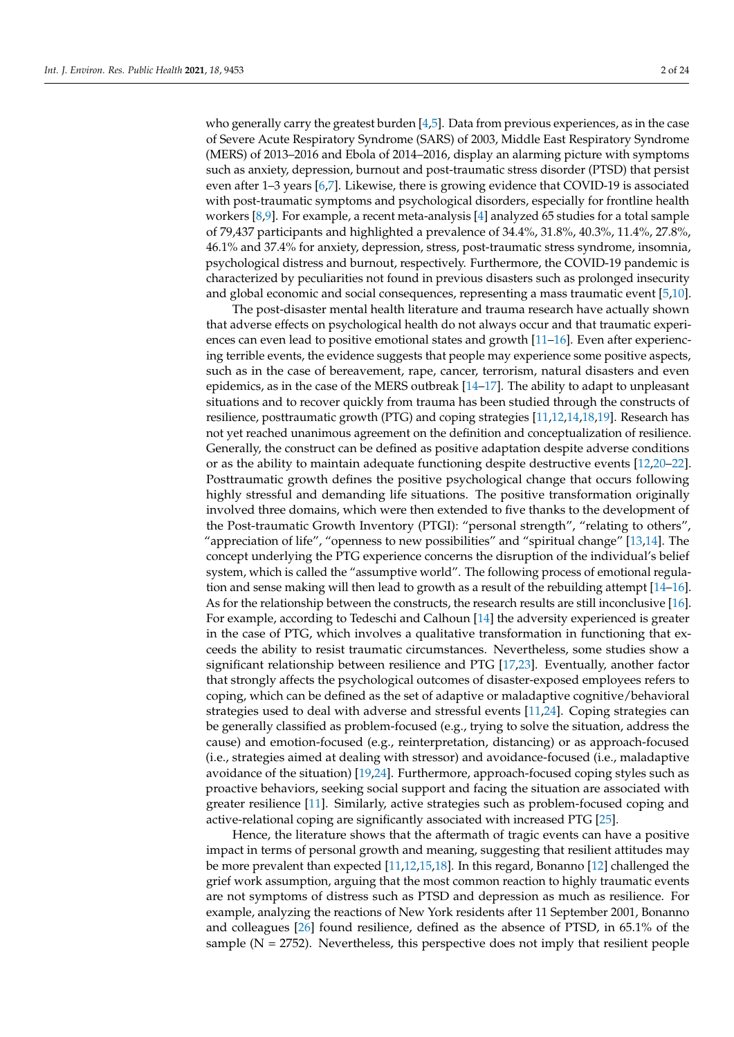who generally carry the greatest burden  $[4,5]$  $[4,5]$ . Data from previous experiences, as in the case of Severe Acute Respiratory Syndrome (SARS) of 2003, Middle East Respiratory Syndrome (MERS) of 2013–2016 and Ebola of 2014–2016, display an alarming picture with symptoms such as anxiety, depression, burnout and post-traumatic stress disorder (PTSD) that persist even after 1–3 years [\[6,](#page-20-0)[7\]](#page-20-1). Likewise, there is growing evidence that COVID-19 is associated with post-traumatic symptoms and psychological disorders, especially for frontline health workers [\[8,](#page-20-2)[9\]](#page-20-3). For example, a recent meta-analysis [\[4\]](#page-19-3) analyzed 65 studies for a total sample of 79,437 participants and highlighted a prevalence of 34.4%, 31.8%, 40.3%, 11.4%, 27.8%, 46.1% and 37.4% for anxiety, depression, stress, post-traumatic stress syndrome, insomnia, psychological distress and burnout, respectively. Furthermore, the COVID-19 pandemic is characterized by peculiarities not found in previous disasters such as prolonged insecurity and global economic and social consequences, representing a mass traumatic event [\[5](#page-19-4)[,10\]](#page-20-4).

The post-disaster mental health literature and trauma research have actually shown that adverse effects on psychological health do not always occur and that traumatic experiences can even lead to positive emotional states and growth [\[11](#page-20-5)[–16\]](#page-20-6). Even after experiencing terrible events, the evidence suggests that people may experience some positive aspects, such as in the case of bereavement, rape, cancer, terrorism, natural disasters and even epidemics, as in the case of the MERS outbreak  $[14-17]$  $[14-17]$ . The ability to adapt to unpleasant situations and to recover quickly from trauma has been studied through the constructs of resilience, posttraumatic growth (PTG) and coping strategies [\[11,](#page-20-5)[12,](#page-20-9)[14](#page-20-7)[,18](#page-20-10)[,19\]](#page-20-11). Research has not yet reached unanimous agreement on the definition and conceptualization of resilience. Generally, the construct can be defined as positive adaptation despite adverse conditions or as the ability to maintain adequate functioning despite destructive events [\[12,](#page-20-9)[20](#page-20-12)[–22\]](#page-20-13). Posttraumatic growth defines the positive psychological change that occurs following highly stressful and demanding life situations. The positive transformation originally involved three domains, which were then extended to five thanks to the development of the Post-traumatic Growth Inventory (PTGI): "personal strength", "relating to others", "appreciation of life", "openness to new possibilities" and "spiritual change" [\[13,](#page-20-14)[14\]](#page-20-7). The concept underlying the PTG experience concerns the disruption of the individual's belief system, which is called the "assumptive world". The following process of emotional regulation and sense making will then lead to growth as a result of the rebuilding attempt [\[14](#page-20-7)[–16\]](#page-20-6). As for the relationship between the constructs, the research results are still inconclusive [\[16\]](#page-20-6). For example, according to Tedeschi and Calhoun [\[14\]](#page-20-7) the adversity experienced is greater in the case of PTG, which involves a qualitative transformation in functioning that exceeds the ability to resist traumatic circumstances. Nevertheless, some studies show a significant relationship between resilience and PTG [\[17,](#page-20-8)[23\]](#page-20-15). Eventually, another factor that strongly affects the psychological outcomes of disaster-exposed employees refers to coping, which can be defined as the set of adaptive or maladaptive cognitive/behavioral strategies used to deal with adverse and stressful events [\[11](#page-20-5)[,24\]](#page-20-16). Coping strategies can be generally classified as problem-focused (e.g., trying to solve the situation, address the cause) and emotion-focused (e.g., reinterpretation, distancing) or as approach-focused (i.e., strategies aimed at dealing with stressor) and avoidance-focused (i.e., maladaptive avoidance of the situation) [\[19,](#page-20-11)[24\]](#page-20-16). Furthermore, approach-focused coping styles such as proactive behaviors, seeking social support and facing the situation are associated with greater resilience [\[11\]](#page-20-5). Similarly, active strategies such as problem-focused coping and active-relational coping are significantly associated with increased PTG [\[25\]](#page-20-17).

Hence, the literature shows that the aftermath of tragic events can have a positive impact in terms of personal growth and meaning, suggesting that resilient attitudes may be more prevalent than expected [\[11](#page-20-5)[,12](#page-20-9)[,15](#page-20-18)[,18\]](#page-20-10). In this regard, Bonanno [\[12\]](#page-20-9) challenged the grief work assumption, arguing that the most common reaction to highly traumatic events are not symptoms of distress such as PTSD and depression as much as resilience. For example, analyzing the reactions of New York residents after 11 September 2001, Bonanno and colleagues [\[26\]](#page-20-19) found resilience, defined as the absence of PTSD, in 65.1% of the sample ( $N = 2752$ ). Nevertheless, this perspective does not imply that resilient people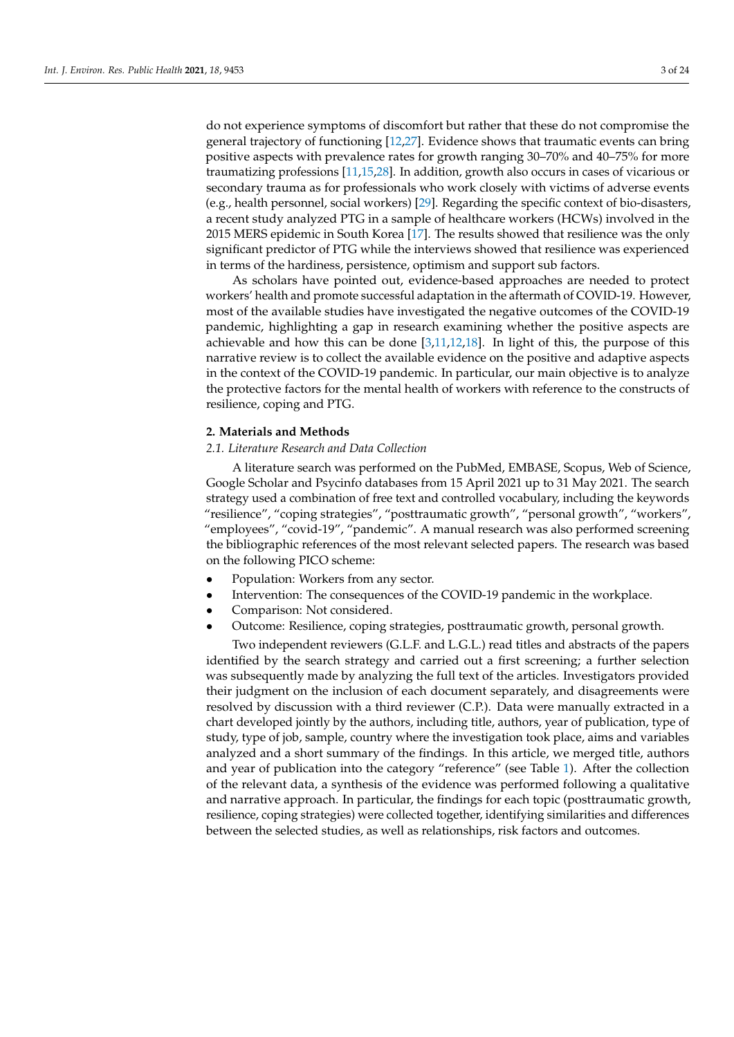do not experience symptoms of discomfort but rather that these do not compromise the general trajectory of functioning [\[12](#page-20-9)[,27\]](#page-20-20). Evidence shows that traumatic events can bring positive aspects with prevalence rates for growth ranging 30–70% and 40–75% for more traumatizing professions [\[11,](#page-20-5)[15,](#page-20-18)[28\]](#page-20-21). In addition, growth also occurs in cases of vicarious or secondary trauma as for professionals who work closely with victims of adverse events (e.g., health personnel, social workers) [\[29\]](#page-20-22). Regarding the specific context of bio-disasters, a recent study analyzed PTG in a sample of healthcare workers (HCWs) involved in the 2015 MERS epidemic in South Korea [\[17\]](#page-20-8). The results showed that resilience was the only significant predictor of PTG while the interviews showed that resilience was experienced in terms of the hardiness, persistence, optimism and support sub factors.

As scholars have pointed out, evidence-based approaches are needed to protect workers' health and promote successful adaptation in the aftermath of COVID-19. However, most of the available studies have investigated the negative outcomes of the COVID-19 pandemic, highlighting a gap in research examining whether the positive aspects are achievable and how this can be done  $[3,11,12,18]$  $[3,11,12,18]$  $[3,11,12,18]$  $[3,11,12,18]$ . In light of this, the purpose of this narrative review is to collect the available evidence on the positive and adaptive aspects in the context of the COVID-19 pandemic. In particular, our main objective is to analyze the protective factors for the mental health of workers with reference to the constructs of resilience, coping and PTG.

#### **2. Materials and Methods**

#### *2.1. Literature Research and Data Collection*

A literature search was performed on the PubMed, EMBASE, Scopus, Web of Science, Google Scholar and Psycinfo databases from 15 April 2021 up to 31 May 2021. The search strategy used a combination of free text and controlled vocabulary, including the keywords "resilience", "coping strategies", "posttraumatic growth", "personal growth", "workers", "employees", "covid-19", "pandemic". A manual research was also performed screening the bibliographic references of the most relevant selected papers. The research was based on the following PICO scheme:

- Population: Workers from any sector.
- Intervention: The consequences of the COVID-19 pandemic in the workplace.
- Comparison: Not considered.
- Outcome: Resilience, coping strategies, posttraumatic growth, personal growth.

Two independent reviewers (G.L.F. and L.G.L.) read titles and abstracts of the papers identified by the search strategy and carried out a first screening; a further selection was subsequently made by analyzing the full text of the articles. Investigators provided their judgment on the inclusion of each document separately, and disagreements were resolved by discussion with a third reviewer (C.P.). Data were manually extracted in a chart developed jointly by the authors, including title, authors, year of publication, type of study, type of job, sample, country where the investigation took place, aims and variables analyzed and a short summary of the findings. In this article, we merged title, authors and year of publication into the category "reference" (see Table [1\)](#page-12-0). After the collection of the relevant data, a synthesis of the evidence was performed following a qualitative and narrative approach. In particular, the findings for each topic (posttraumatic growth, resilience, coping strategies) were collected together, identifying similarities and differences between the selected studies, as well as relationships, risk factors and outcomes.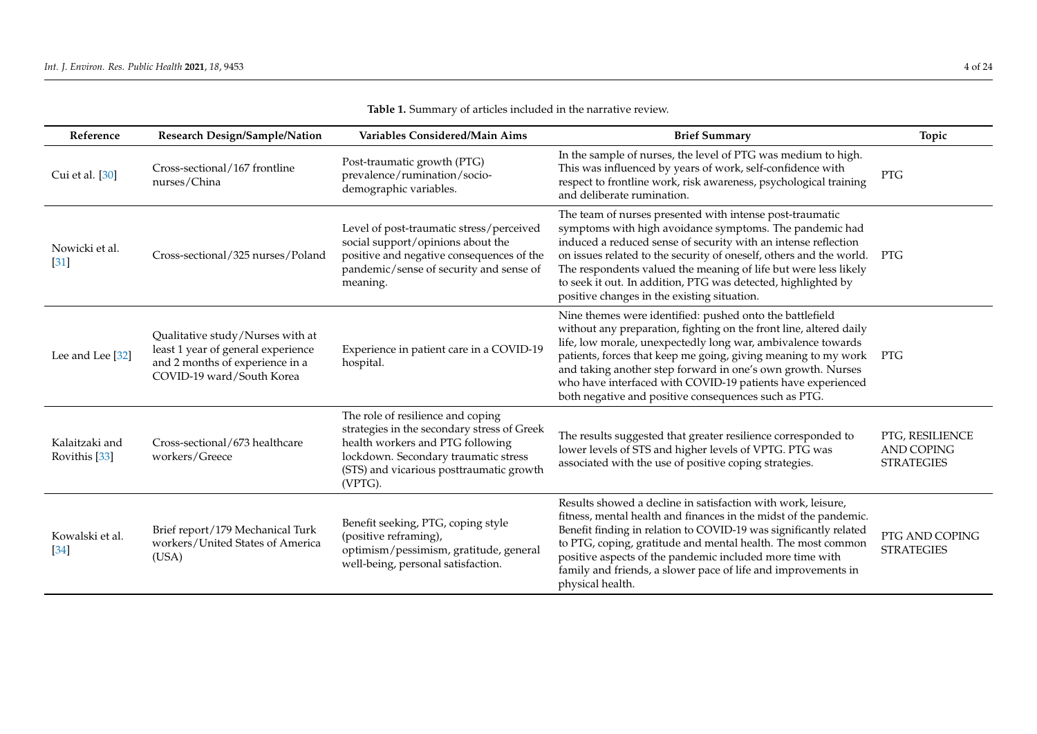| Reference                       | <b>Research Design/Sample/Nation</b>                                                                                                   | Variables Considered/Main Aims                                                                                                                                                                                      | <b>Brief Summary</b>                                                                                                                                                                                                                                                                                                                                                                                                                                   | Topic                                                     |
|---------------------------------|----------------------------------------------------------------------------------------------------------------------------------------|---------------------------------------------------------------------------------------------------------------------------------------------------------------------------------------------------------------------|--------------------------------------------------------------------------------------------------------------------------------------------------------------------------------------------------------------------------------------------------------------------------------------------------------------------------------------------------------------------------------------------------------------------------------------------------------|-----------------------------------------------------------|
| Cui et al. [30]                 | Cross-sectional/167 frontline<br>nurses/China                                                                                          | Post-traumatic growth (PTG)<br>prevalence/rumination/socio-<br>demographic variables.                                                                                                                               | In the sample of nurses, the level of PTG was medium to high.<br>This was influenced by years of work, self-confidence with<br>respect to frontline work, risk awareness, psychological training<br>and deliberate rumination.                                                                                                                                                                                                                         | <b>PTG</b>                                                |
| Nowicki et al.<br>$[31]$        | Cross-sectional/325 nurses/Poland                                                                                                      | Level of post-traumatic stress/perceived<br>social support/opinions about the<br>positive and negative consequences of the<br>pandemic/sense of security and sense of<br>meaning.                                   | The team of nurses presented with intense post-traumatic<br>symptoms with high avoidance symptoms. The pandemic had<br>induced a reduced sense of security with an intense reflection<br>on issues related to the security of oneself, others and the world.<br>The respondents valued the meaning of life but were less likely<br>to seek it out. In addition, PTG was detected, highlighted by<br>positive changes in the existing situation.        | PTG                                                       |
| Lee and Lee [32]                | Qualitative study/Nurses with at<br>least 1 year of general experience<br>and 2 months of experience in a<br>COVID-19 ward/South Korea | Experience in patient care in a COVID-19<br>hospital.                                                                                                                                                               | Nine themes were identified: pushed onto the battlefield<br>without any preparation, fighting on the front line, altered daily<br>life, low morale, unexpectedly long war, ambivalence towards<br>patients, forces that keep me going, giving meaning to my work<br>and taking another step forward in one's own growth. Nurses<br>who have interfaced with COVID-19 patients have experienced<br>both negative and positive consequences such as PTG. | PTG                                                       |
| Kalaitzaki and<br>Rovithis [33] | Cross-sectional/673 healthcare<br>workers/Greece                                                                                       | The role of resilience and coping<br>strategies in the secondary stress of Greek<br>health workers and PTG following<br>lockdown. Secondary traumatic stress<br>(STS) and vicarious posttraumatic growth<br>(VPTG). | The results suggested that greater resilience corresponded to<br>lower levels of STS and higher levels of VPTG. PTG was<br>associated with the use of positive coping strategies.                                                                                                                                                                                                                                                                      | PTG, RESILIENCE<br><b>AND COPING</b><br><b>STRATEGIES</b> |
| Kowalski et al.<br>[34]         | Brief report/179 Mechanical Turk<br>workers/United States of America<br>(USA)                                                          | Benefit seeking, PTG, coping style<br>(positive reframing),<br>optimism/pessimism, gratitude, general<br>well-being, personal satisfaction.                                                                         | Results showed a decline in satisfaction with work, leisure,<br>fitness, mental health and finances in the midst of the pandemic.<br>Benefit finding in relation to COVID-19 was significantly related<br>to PTG, coping, gratitude and mental health. The most common<br>positive aspects of the pandemic included more time with<br>family and friends, a slower pace of life and improvements in<br>physical health.                                | PTG AND COPING<br><b>STRATEGIES</b>                       |

**Table 1.** Summary of articles included in the narrative review.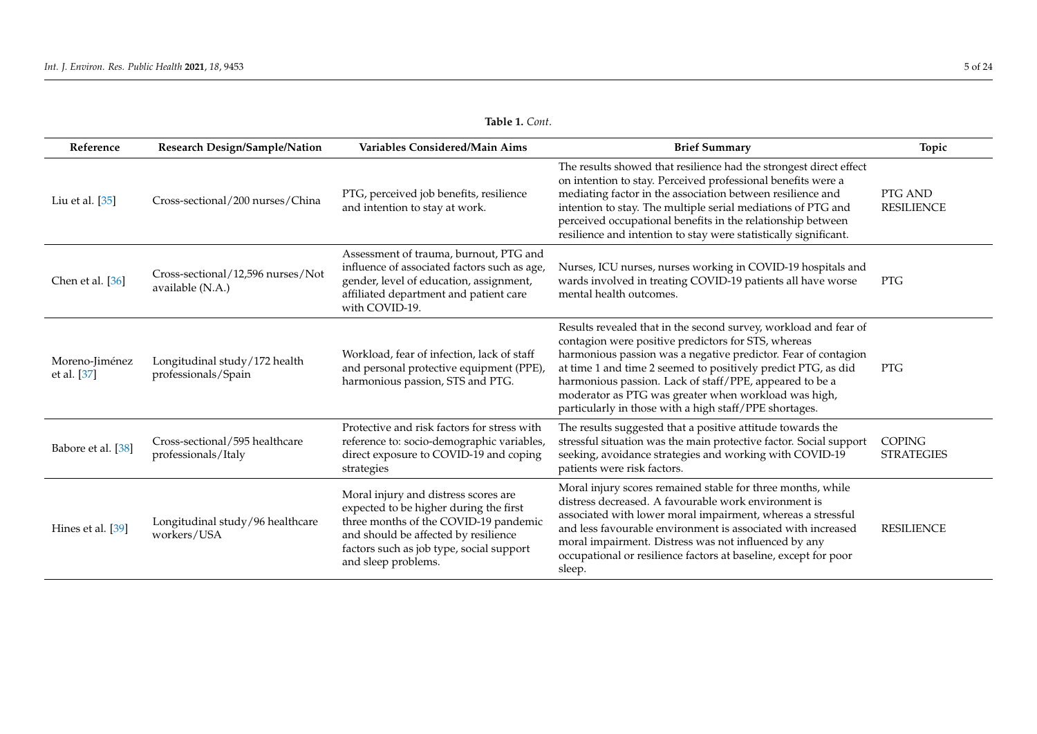| Reference                     | Research Design/Sample/Nation                         | Variables Considered/Main Aims                                                                                                                                                                                                     | <b>Brief Summary</b>                                                                                                                                                                                                                                                                                                                                                                                                                    | Topic                              |
|-------------------------------|-------------------------------------------------------|------------------------------------------------------------------------------------------------------------------------------------------------------------------------------------------------------------------------------------|-----------------------------------------------------------------------------------------------------------------------------------------------------------------------------------------------------------------------------------------------------------------------------------------------------------------------------------------------------------------------------------------------------------------------------------------|------------------------------------|
| Liu et al. [35]               | Cross-sectional/200 nurses/China                      | PTG, perceived job benefits, resilience<br>and intention to stay at work.                                                                                                                                                          | The results showed that resilience had the strongest direct effect<br>on intention to stay. Perceived professional benefits were a<br>mediating factor in the association between resilience and<br>intention to stay. The multiple serial mediations of PTG and<br>perceived occupational benefits in the relationship between<br>resilience and intention to stay were statistically significant.                                     | PTG AND<br><b>RESILIENCE</b>       |
| Chen et al. [36]              | Cross-sectional/12,596 nurses/Not<br>available (N.A.) | Assessment of trauma, burnout, PTG and<br>influence of associated factors such as age,<br>gender, level of education, assignment,<br>affiliated department and patient care<br>with COVID-19.                                      | Nurses, ICU nurses, nurses working in COVID-19 hospitals and<br>wards involved in treating COVID-19 patients all have worse<br>mental health outcomes.                                                                                                                                                                                                                                                                                  | <b>PTG</b>                         |
| Moreno-Jiménez<br>et al. [37] | Longitudinal study/172 health<br>professionals/Spain  | Workload, fear of infection, lack of staff<br>and personal protective equipment (PPE),<br>harmonious passion, STS and PTG.                                                                                                         | Results revealed that in the second survey, workload and fear of<br>contagion were positive predictors for STS, whereas<br>harmonious passion was a negative predictor. Fear of contagion<br>at time 1 and time 2 seemed to positively predict PTG, as did<br>harmonious passion. Lack of staff/PPE, appeared to be a<br>moderator as PTG was greater when workload was high,<br>particularly in those with a high staff/PPE shortages. | <b>PTG</b>                         |
| Babore et al. [38]            | Cross-sectional/595 healthcare<br>professionals/Italy | Protective and risk factors for stress with<br>reference to: socio-demographic variables,<br>direct exposure to COVID-19 and coping<br>strategies                                                                                  | The results suggested that a positive attitude towards the<br>stressful situation was the main protective factor. Social support<br>seeking, avoidance strategies and working with COVID-19<br>patients were risk factors.                                                                                                                                                                                                              | <b>COPING</b><br><b>STRATEGIES</b> |
| Hines et al. [39]             | Longitudinal study/96 healthcare<br>workers/USA       | Moral injury and distress scores are<br>expected to be higher during the first<br>three months of the COVID-19 pandemic<br>and should be affected by resilience<br>factors such as job type, social support<br>and sleep problems. | Moral injury scores remained stable for three months, while<br>distress decreased. A favourable work environment is<br>associated with lower moral impairment, whereas a stressful<br>and less favourable environment is associated with increased<br>moral impairment. Distress was not influenced by any<br>occupational or resilience factors at baseline, except for poor<br>sleep.                                                 | <b>RESILIENCE</b>                  |

| Table 1. Cont. |  |
|----------------|--|
|----------------|--|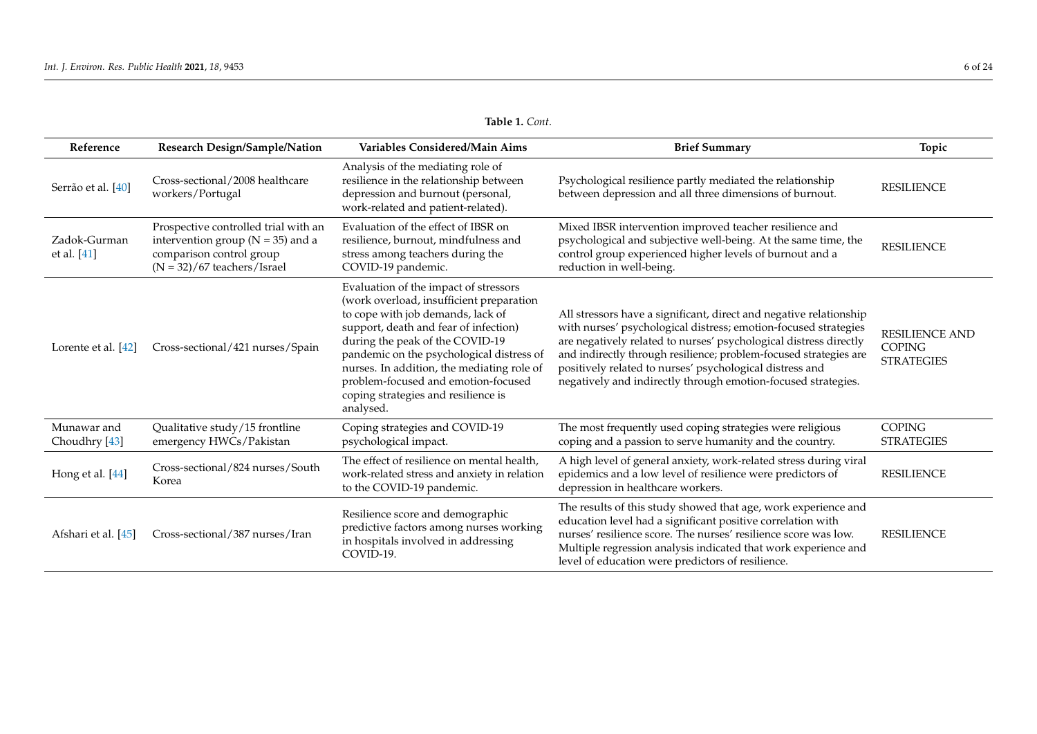| Reference                    | Research Design/Sample/Nation                                                                                                              | Variables Considered/Main Aims                                                                                                                                                                                                                                                                                                                                                           | <b>Brief Summary</b>                                                                                                                                                                                                                                                                                                                                                                                         | Topic                                                       |
|------------------------------|--------------------------------------------------------------------------------------------------------------------------------------------|------------------------------------------------------------------------------------------------------------------------------------------------------------------------------------------------------------------------------------------------------------------------------------------------------------------------------------------------------------------------------------------|--------------------------------------------------------------------------------------------------------------------------------------------------------------------------------------------------------------------------------------------------------------------------------------------------------------------------------------------------------------------------------------------------------------|-------------------------------------------------------------|
| Serrão et al. [40]           | Cross-sectional/2008 healthcare<br>workers/Portugal                                                                                        | Analysis of the mediating role of<br>resilience in the relationship between<br>depression and burnout (personal,<br>work-related and patient-related).                                                                                                                                                                                                                                   | Psychological resilience partly mediated the relationship<br>between depression and all three dimensions of burnout.                                                                                                                                                                                                                                                                                         | <b>RESILIENCE</b>                                           |
| Zadok-Gurman<br>et al. [41]  | Prospective controlled trial with an<br>intervention group ( $N = 35$ ) and a<br>comparison control group<br>$(N = 32)/67$ teachers/Israel | Evaluation of the effect of IBSR on<br>resilience, burnout, mindfulness and<br>stress among teachers during the<br>COVID-19 pandemic.                                                                                                                                                                                                                                                    | Mixed IBSR intervention improved teacher resilience and<br>psychological and subjective well-being. At the same time, the<br>control group experienced higher levels of burnout and a<br>reduction in well-being.                                                                                                                                                                                            | <b>RESILIENCE</b>                                           |
| Lorente et al. [42]          | Cross-sectional/421 nurses/Spain                                                                                                           | Evaluation of the impact of stressors<br>(work overload, insufficient preparation<br>to cope with job demands, lack of<br>support, death and fear of infection)<br>during the peak of the COVID-19<br>pandemic on the psychological distress of<br>nurses. In addition, the mediating role of<br>problem-focused and emotion-focused<br>coping strategies and resilience is<br>analysed. | All stressors have a significant, direct and negative relationship<br>with nurses' psychological distress; emotion-focused strategies<br>are negatively related to nurses' psychological distress directly<br>and indirectly through resilience; problem-focused strategies are<br>positively related to nurses' psychological distress and<br>negatively and indirectly through emotion-focused strategies. | <b>RESILIENCE AND</b><br><b>COPING</b><br><b>STRATEGIES</b> |
| Munawar and<br>Choudhry [43] | Qualitative study/15 frontline<br>emergency HWCs/Pakistan                                                                                  | Coping strategies and COVID-19<br>psychological impact.                                                                                                                                                                                                                                                                                                                                  | The most frequently used coping strategies were religious<br>coping and a passion to serve humanity and the country.                                                                                                                                                                                                                                                                                         | <b>COPING</b><br><b>STRATEGIES</b>                          |
| Hong et al. [44]             | Cross-sectional/824 nurses/South<br>Korea                                                                                                  | The effect of resilience on mental health,<br>work-related stress and anxiety in relation<br>to the COVID-19 pandemic.                                                                                                                                                                                                                                                                   | A high level of general anxiety, work-related stress during viral<br>epidemics and a low level of resilience were predictors of<br>depression in healthcare workers.                                                                                                                                                                                                                                         | <b>RESILIENCE</b>                                           |
| Afshari et al. [45]          | Cross-sectional/387 nurses/Iran                                                                                                            | Resilience score and demographic<br>predictive factors among nurses working<br>in hospitals involved in addressing<br>COVID-19.                                                                                                                                                                                                                                                          | The results of this study showed that age, work experience and<br>education level had a significant positive correlation with<br>nurses' resilience score. The nurses' resilience score was low.<br>Multiple regression analysis indicated that work experience and<br>level of education were predictors of resilience.                                                                                     | <b>RESILIENCE</b>                                           |

**Table 1.** *Cont*.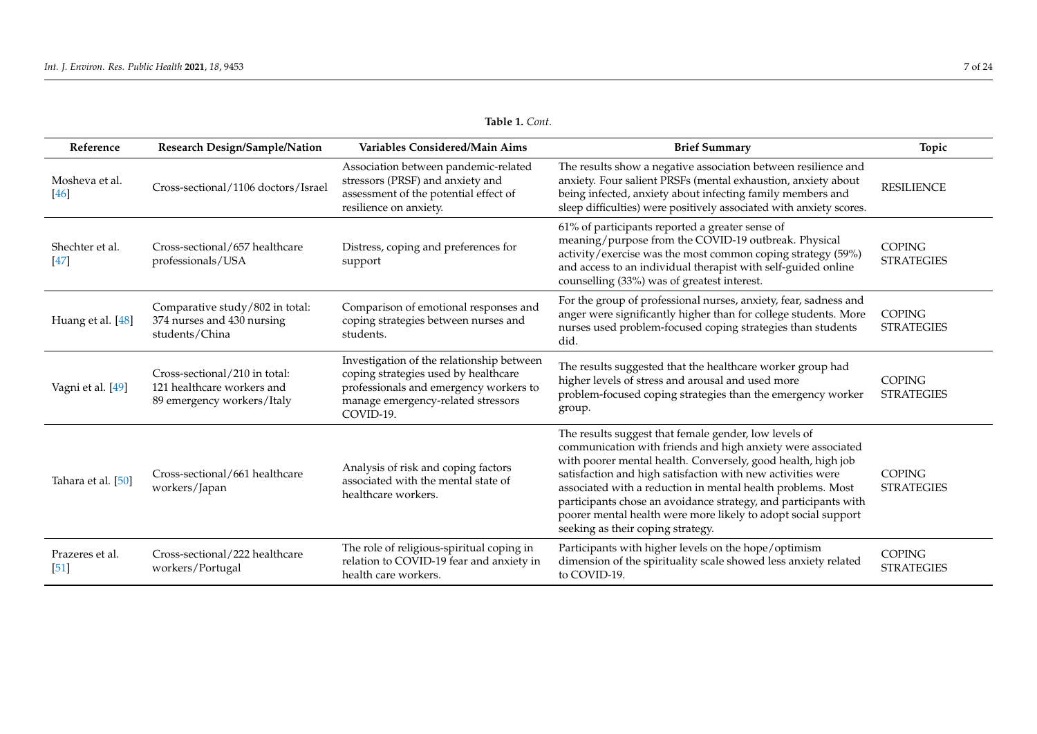| Reference               | Research Design/Sample/Nation                                                             | Variables Considered/Main Aims                                                                                                                                                 | <b>Brief Summary</b>                                                                                                                                                                                                                                                                                                                                                                                                                                                                        | Topic                              |
|-------------------------|-------------------------------------------------------------------------------------------|--------------------------------------------------------------------------------------------------------------------------------------------------------------------------------|---------------------------------------------------------------------------------------------------------------------------------------------------------------------------------------------------------------------------------------------------------------------------------------------------------------------------------------------------------------------------------------------------------------------------------------------------------------------------------------------|------------------------------------|
| Mosheva et al.<br>[46]  | Cross-sectional/1106 doctors/Israel                                                       | Association between pandemic-related<br>stressors (PRSF) and anxiety and<br>assessment of the potential effect of<br>resilience on anxiety.                                    | The results show a negative association between resilience and<br>anxiety. Four salient PRSFs (mental exhaustion, anxiety about<br>being infected, anxiety about infecting family members and<br>sleep difficulties) were positively associated with anxiety scores.                                                                                                                                                                                                                        | <b>RESILIENCE</b>                  |
| Shechter et al.<br>[47] | Cross-sectional/657 healthcare<br>professionals/USA                                       | Distress, coping and preferences for<br>support                                                                                                                                | 61% of participants reported a greater sense of<br>meaning/purpose from the COVID-19 outbreak. Physical<br>activity/exercise was the most common coping strategy (59%)<br>and access to an individual therapist with self-guided online<br>counselling (33%) was of greatest interest.                                                                                                                                                                                                      | <b>COPING</b><br><b>STRATEGIES</b> |
| Huang et al. [48]       | Comparative study/802 in total:<br>374 nurses and 430 nursing<br>students/China           | Comparison of emotional responses and<br>coping strategies between nurses and<br>students.                                                                                     | For the group of professional nurses, anxiety, fear, sadness and<br>anger were significantly higher than for college students. More<br>nurses used problem-focused coping strategies than students<br>did.                                                                                                                                                                                                                                                                                  | <b>COPING</b><br><b>STRATEGIES</b> |
| Vagni et al. [49]       | Cross-sectional/210 in total:<br>121 healthcare workers and<br>89 emergency workers/Italy | Investigation of the relationship between<br>coping strategies used by healthcare<br>professionals and emergency workers to<br>manage emergency-related stressors<br>COVID-19. | The results suggested that the healthcare worker group had<br>higher levels of stress and arousal and used more<br>problem-focused coping strategies than the emergency worker<br>group.                                                                                                                                                                                                                                                                                                    | <b>COPING</b><br><b>STRATEGIES</b> |
| Tahara et al. [50]      | Cross-sectional/661 healthcare<br>workers/Japan                                           | Analysis of risk and coping factors<br>associated with the mental state of<br>healthcare workers.                                                                              | The results suggest that female gender, low levels of<br>communication with friends and high anxiety were associated<br>with poorer mental health. Conversely, good health, high job<br>satisfaction and high satisfaction with new activities were<br>associated with a reduction in mental health problems. Most<br>participants chose an avoidance strategy, and participants with<br>poorer mental health were more likely to adopt social support<br>seeking as their coping strategy. | <b>COPING</b><br><b>STRATEGIES</b> |
| Prazeres et al.<br>[51] | Cross-sectional/222 healthcare<br>workers/Portugal                                        | The role of religious-spiritual coping in<br>relation to COVID-19 fear and anxiety in<br>health care workers.                                                                  | Participants with higher levels on the hope/optimism<br>dimension of the spirituality scale showed less anxiety related<br>to COVID-19.                                                                                                                                                                                                                                                                                                                                                     | <b>COPING</b><br><b>STRATEGIES</b> |

**Table 1.** *Cont*.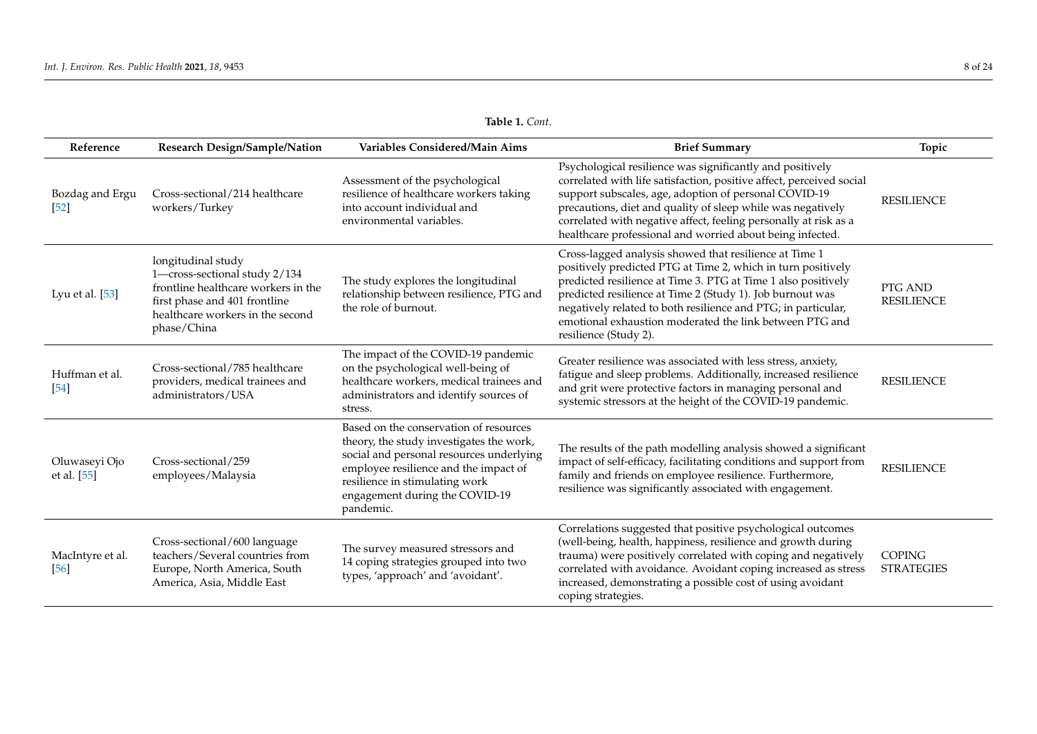| Reference                    | Research Design/Sample/Nation                                                                                                                                                  | Variables Considered/Main Aims                                                                                                                                                                                                                           | <b>Brief Summary</b>                                                                                                                                                                                                                                                                                                                                                                                      | Topic                              |
|------------------------------|--------------------------------------------------------------------------------------------------------------------------------------------------------------------------------|----------------------------------------------------------------------------------------------------------------------------------------------------------------------------------------------------------------------------------------------------------|-----------------------------------------------------------------------------------------------------------------------------------------------------------------------------------------------------------------------------------------------------------------------------------------------------------------------------------------------------------------------------------------------------------|------------------------------------|
| Bozdag and Ergu<br>[52]      | Cross-sectional/214 healthcare<br>workers/Turkey                                                                                                                               | Assessment of the psychological<br>resilience of healthcare workers taking<br>into account individual and<br>environmental variables.                                                                                                                    | Psychological resilience was significantly and positively<br>correlated with life satisfaction, positive affect, perceived social<br>support subscales, age, adoption of personal COVID-19<br>precautions, diet and quality of sleep while was negatively<br>correlated with negative affect, feeling personally at risk as a<br>healthcare professional and worried about being infected.                | <b>RESILIENCE</b>                  |
| Lyu et al. [53]              | longitudinal study<br>1-cross-sectional study 2/134<br>frontline healthcare workers in the<br>first phase and 401 frontline<br>healthcare workers in the second<br>phase/China | The study explores the longitudinal<br>relationship between resilience, PTG and<br>the role of burnout.                                                                                                                                                  | Cross-lagged analysis showed that resilience at Time 1<br>positively predicted PTG at Time 2, which in turn positively<br>predicted resilience at Time 3. PTG at Time 1 also positively<br>predicted resilience at Time 2 (Study 1). Job burnout was<br>negatively related to both resilience and PTG; in particular,<br>emotional exhaustion moderated the link between PTG and<br>resilience (Study 2). | PTG AND<br><b>RESILIENCE</b>       |
| Huffman et al.<br>[54]       | Cross-sectional/785 healthcare<br>providers, medical trainees and<br>administrators/USA                                                                                        | The impact of the COVID-19 pandemic<br>on the psychological well-being of<br>healthcare workers, medical trainees and<br>administrators and identify sources of<br>stress.                                                                               | Greater resilience was associated with less stress, anxiety,<br>fatigue and sleep problems. Additionally, increased resilience<br>and grit were protective factors in managing personal and<br>systemic stressors at the height of the COVID-19 pandemic.                                                                                                                                                 | <b>RESILIENCE</b>                  |
| Oluwaseyi Ojo<br>et al. [55] | Cross-sectional/259<br>employees/Malaysia                                                                                                                                      | Based on the conservation of resources<br>theory, the study investigates the work,<br>social and personal resources underlying<br>employee resilience and the impact of<br>resilience in stimulating work<br>engagement during the COVID-19<br>pandemic. | The results of the path modelling analysis showed a significant<br>impact of self-efficacy, facilitating conditions and support from<br>family and friends on employee resilience. Furthermore,<br>resilience was significantly associated with engagement.                                                                                                                                               | <b>RESILIENCE</b>                  |
| MacIntyre et al.<br>[56]     | Cross-sectional/600 language<br>teachers/Several countries from<br>Europe, North America, South<br>America, Asia, Middle East                                                  | The survey measured stressors and<br>14 coping strategies grouped into two<br>types, 'approach' and 'avoidant'.                                                                                                                                          | Correlations suggested that positive psychological outcomes<br>(well-being, health, happiness, resilience and growth during<br>trauma) were positively correlated with coping and negatively<br>correlated with avoidance. Avoidant coping increased as stress<br>increased, demonstrating a possible cost of using avoidant<br>coping strategies.                                                        | <b>COPING</b><br><b>STRATEGIES</b> |

**Table 1.** *Cont*.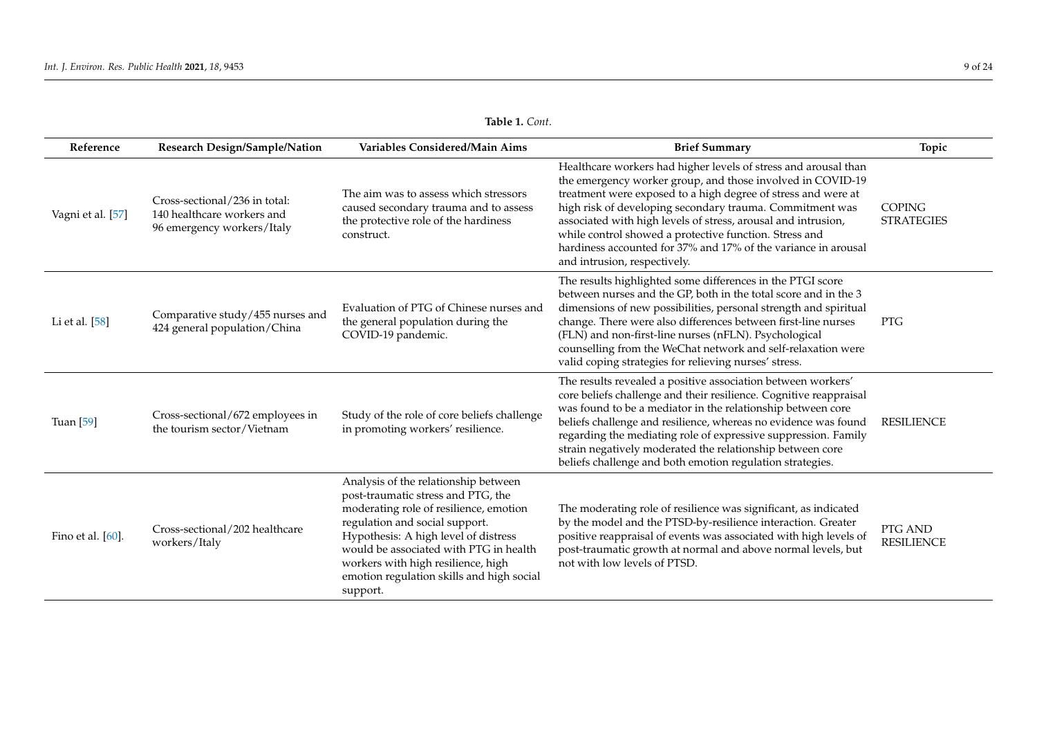| Reference         | <b>Research Design/Sample/Nation</b>                                                      | Variables Considered/Main Aims                                                                                                                                                                                                                                                                                                          | <b>Brief Summary</b>                                                                                                                                                                                                                                                                                                                                                                                                                                                                    | Topic                              |
|-------------------|-------------------------------------------------------------------------------------------|-----------------------------------------------------------------------------------------------------------------------------------------------------------------------------------------------------------------------------------------------------------------------------------------------------------------------------------------|-----------------------------------------------------------------------------------------------------------------------------------------------------------------------------------------------------------------------------------------------------------------------------------------------------------------------------------------------------------------------------------------------------------------------------------------------------------------------------------------|------------------------------------|
| Vagni et al. [57] | Cross-sectional/236 in total:<br>140 healthcare workers and<br>96 emergency workers/Italy | The aim was to assess which stressors<br>caused secondary trauma and to assess<br>the protective role of the hardiness<br>construct.                                                                                                                                                                                                    | Healthcare workers had higher levels of stress and arousal than<br>the emergency worker group, and those involved in COVID-19<br>treatment were exposed to a high degree of stress and were at<br>high risk of developing secondary trauma. Commitment was<br>associated with high levels of stress, arousal and intrusion,<br>while control showed a protective function. Stress and<br>hardiness accounted for 37% and 17% of the variance in arousal<br>and intrusion, respectively. | <b>COPING</b><br><b>STRATEGIES</b> |
| Li et al. [58]    | Comparative study/455 nurses and<br>424 general population/China                          | Evaluation of PTG of Chinese nurses and<br>the general population during the<br>COVID-19 pandemic.                                                                                                                                                                                                                                      | The results highlighted some differences in the PTGI score<br>between nurses and the GP, both in the total score and in the 3<br>dimensions of new possibilities, personal strength and spiritual<br>change. There were also differences between first-line nurses<br>(FLN) and non-first-line nurses (nFLN). Psychological<br>counselling from the WeChat network and self-relaxation were<br>valid coping strategies for relieving nurses' stress.                                    | <b>PTG</b>                         |
| Tuan [59]         | Cross-sectional/672 employees in<br>the tourism sector/Vietnam                            | Study of the role of core beliefs challenge<br>in promoting workers' resilience.                                                                                                                                                                                                                                                        | The results revealed a positive association between workers'<br>core beliefs challenge and their resilience. Cognitive reappraisal<br>was found to be a mediator in the relationship between core<br>beliefs challenge and resilience, whereas no evidence was found<br>regarding the mediating role of expressive suppression. Family<br>strain negatively moderated the relationship between core<br>beliefs challenge and both emotion regulation strategies.                        | <b>RESILIENCE</b>                  |
| Fino et al. [60]. | Cross-sectional/202 healthcare<br>workers/Italy                                           | Analysis of the relationship between<br>post-traumatic stress and PTG, the<br>moderating role of resilience, emotion<br>regulation and social support.<br>Hypothesis: A high level of distress<br>would be associated with PTG in health<br>workers with high resilience, high<br>emotion regulation skills and high social<br>support. | The moderating role of resilience was significant, as indicated<br>by the model and the PTSD-by-resilience interaction. Greater<br>positive reappraisal of events was associated with high levels of<br>post-traumatic growth at normal and above normal levels, but<br>not with low levels of PTSD.                                                                                                                                                                                    | PTG AND<br><b>RESILIENCE</b>       |

**Table 1.** *Cont*.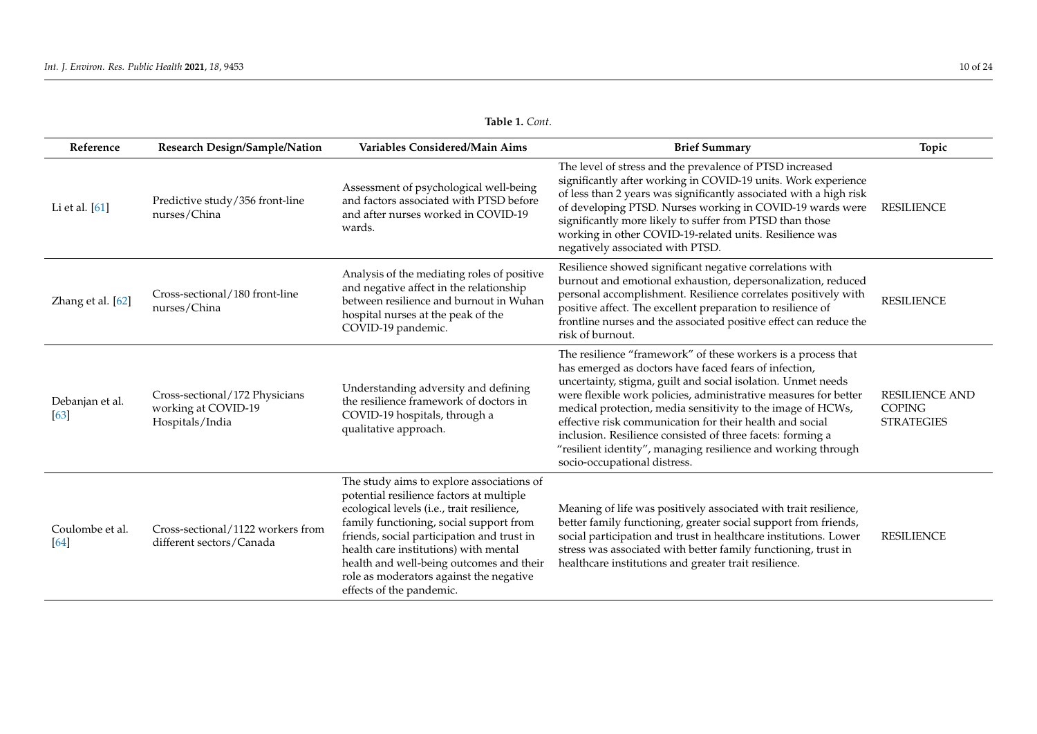| Reference               | Research Design/Sample/Nation                                            | Variables Considered/Main Aims                                                                                                                                                                                                                                                                                                                                                           | <b>Brief Summary</b>                                                                                                                                                                                                                                                                                                                                                                                                                                                                                                                                | Topic                                                       |
|-------------------------|--------------------------------------------------------------------------|------------------------------------------------------------------------------------------------------------------------------------------------------------------------------------------------------------------------------------------------------------------------------------------------------------------------------------------------------------------------------------------|-----------------------------------------------------------------------------------------------------------------------------------------------------------------------------------------------------------------------------------------------------------------------------------------------------------------------------------------------------------------------------------------------------------------------------------------------------------------------------------------------------------------------------------------------------|-------------------------------------------------------------|
| Li et al. [61]          | Predictive study/356 front-line<br>nurses/China                          | Assessment of psychological well-being<br>and factors associated with PTSD before<br>and after nurses worked in COVID-19<br>wards.                                                                                                                                                                                                                                                       | The level of stress and the prevalence of PTSD increased<br>significantly after working in COVID-19 units. Work experience<br>of less than 2 years was significantly associated with a high risk<br>of developing PTSD. Nurses working in COVID-19 wards were<br>significantly more likely to suffer from PTSD than those<br>working in other COVID-19-related units. Resilience was<br>negatively associated with PTSD.                                                                                                                            | <b>RESILIENCE</b>                                           |
| Zhang et al. [62]       | Cross-sectional/180 front-line<br>nurses/China                           | Analysis of the mediating roles of positive<br>and negative affect in the relationship<br>between resilience and burnout in Wuhan<br>hospital nurses at the peak of the<br>COVID-19 pandemic.                                                                                                                                                                                            | Resilience showed significant negative correlations with<br>burnout and emotional exhaustion, depersonalization, reduced<br>personal accomplishment. Resilience correlates positively with<br>positive affect. The excellent preparation to resilience of<br>frontline nurses and the associated positive effect can reduce the<br>risk of burnout.                                                                                                                                                                                                 | <b>RESILIENCE</b>                                           |
| Debanjan et al.<br>[63] | Cross-sectional/172 Physicians<br>working at COVID-19<br>Hospitals/India | Understanding adversity and defining<br>the resilience framework of doctors in<br>COVID-19 hospitals, through a<br>qualitative approach.                                                                                                                                                                                                                                                 | The resilience "framework" of these workers is a process that<br>has emerged as doctors have faced fears of infection,<br>uncertainty, stigma, guilt and social isolation. Unmet needs<br>were flexible work policies, administrative measures for better<br>medical protection, media sensitivity to the image of HCWs,<br>effective risk communication for their health and social<br>inclusion. Resilience consisted of three facets: forming a<br>"resilient identity", managing resilience and working through<br>socio-occupational distress. | <b>RESILIENCE AND</b><br><b>COPING</b><br><b>STRATEGIES</b> |
| Coulombe et al.<br>[64] | Cross-sectional/1122 workers from<br>different sectors/Canada            | The study aims to explore associations of<br>potential resilience factors at multiple<br>ecological levels (i.e., trait resilience,<br>family functioning, social support from<br>friends, social participation and trust in<br>health care institutions) with mental<br>health and well-being outcomes and their<br>role as moderators against the negative<br>effects of the pandemic. | Meaning of life was positively associated with trait resilience,<br>better family functioning, greater social support from friends,<br>social participation and trust in healthcare institutions. Lower<br>stress was associated with better family functioning, trust in<br>healthcare institutions and greater trait resilience.                                                                                                                                                                                                                  | <b>RESILIENCE</b>                                           |

|  | Table 1. Cont. |
|--|----------------|
|--|----------------|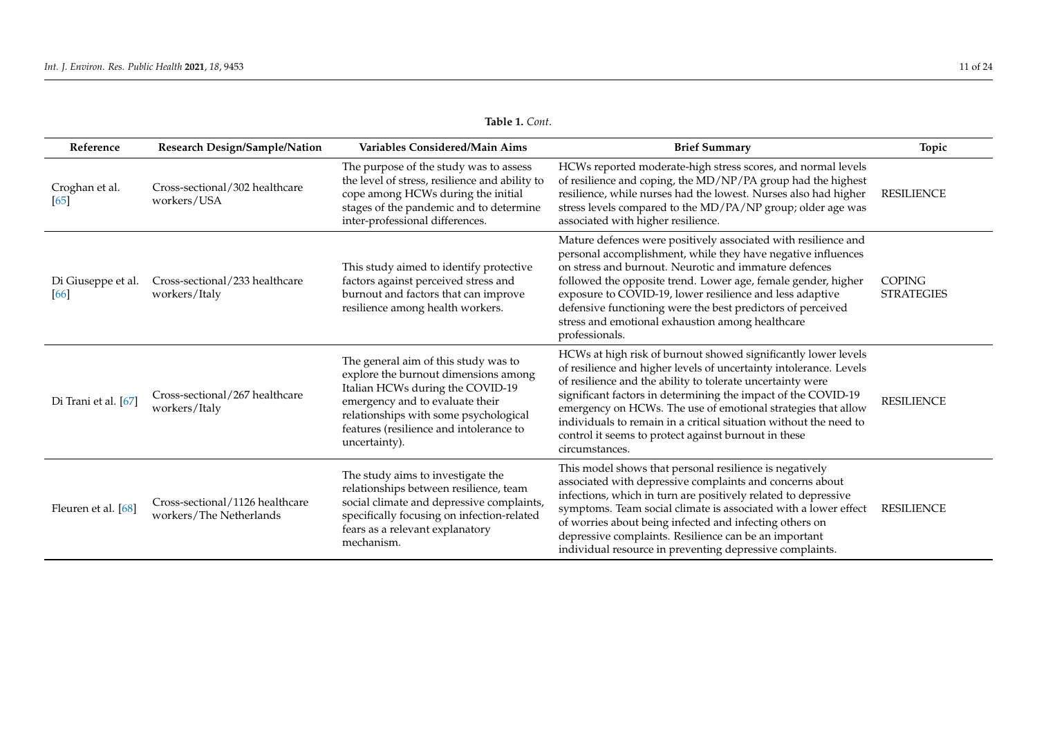| Reference                  | Research Design/Sample/Nation                              | Variables Considered/Main Aims                                                                                                                                                                                                                           | <b>Brief Summary</b>                                                                                                                                                                                                                                                                                                                                                                                                                                                                | Topic                              |
|----------------------------|------------------------------------------------------------|----------------------------------------------------------------------------------------------------------------------------------------------------------------------------------------------------------------------------------------------------------|-------------------------------------------------------------------------------------------------------------------------------------------------------------------------------------------------------------------------------------------------------------------------------------------------------------------------------------------------------------------------------------------------------------------------------------------------------------------------------------|------------------------------------|
| Croghan et al.<br>[65]     | Cross-sectional/302 healthcare<br>workers/USA              | The purpose of the study was to assess<br>the level of stress, resilience and ability to<br>cope among HCWs during the initial<br>stages of the pandemic and to determine<br>inter-professional differences.                                             | HCWs reported moderate-high stress scores, and normal levels<br>of resilience and coping, the MD/NP/PA group had the highest<br>resilience, while nurses had the lowest. Nurses also had higher<br>stress levels compared to the MD/PA/NP group; older age was<br>associated with higher resilience.                                                                                                                                                                                | <b>RESILIENCE</b>                  |
| Di Giuseppe et al.<br>[66] | Cross-sectional/233 healthcare<br>workers/Italy            | This study aimed to identify protective<br>factors against perceived stress and<br>burnout and factors that can improve<br>resilience among health workers.                                                                                              | Mature defences were positively associated with resilience and<br>personal accomplishment, while they have negative influences<br>on stress and burnout. Neurotic and immature defences<br>followed the opposite trend. Lower age, female gender, higher<br>exposure to COVID-19, lower resilience and less adaptive<br>defensive functioning were the best predictors of perceived<br>stress and emotional exhaustion among healthcare<br>professionals.                           | <b>COPING</b><br><b>STRATEGIES</b> |
| Di Trani et al. [67]       | Cross-sectional/267 healthcare<br>workers/Italy            | The general aim of this study was to<br>explore the burnout dimensions among<br>Italian HCWs during the COVID-19<br>emergency and to evaluate their<br>relationships with some psychological<br>features (resilience and intolerance to<br>uncertainty). | HCWs at high risk of burnout showed significantly lower levels<br>of resilience and higher levels of uncertainty intolerance. Levels<br>of resilience and the ability to tolerate uncertainty were<br>significant factors in determining the impact of the COVID-19<br>emergency on HCWs. The use of emotional strategies that allow<br>individuals to remain in a critical situation without the need to<br>control it seems to protect against burnout in these<br>circumstances. | <b>RESILIENCE</b>                  |
| Fleuren et al. [68]        | Cross-sectional/1126 healthcare<br>workers/The Netherlands | The study aims to investigate the<br>relationships between resilience, team<br>social climate and depressive complaints,<br>specifically focusing on infection-related<br>fears as a relevant explanatory<br>mechanism.                                  | This model shows that personal resilience is negatively<br>associated with depressive complaints and concerns about<br>infections, which in turn are positively related to depressive<br>symptoms. Team social climate is associated with a lower effect<br>of worries about being infected and infecting others on<br>depressive complaints. Resilience can be an important<br>individual resource in preventing depressive complaints.                                            | <b>RESILIENCE</b>                  |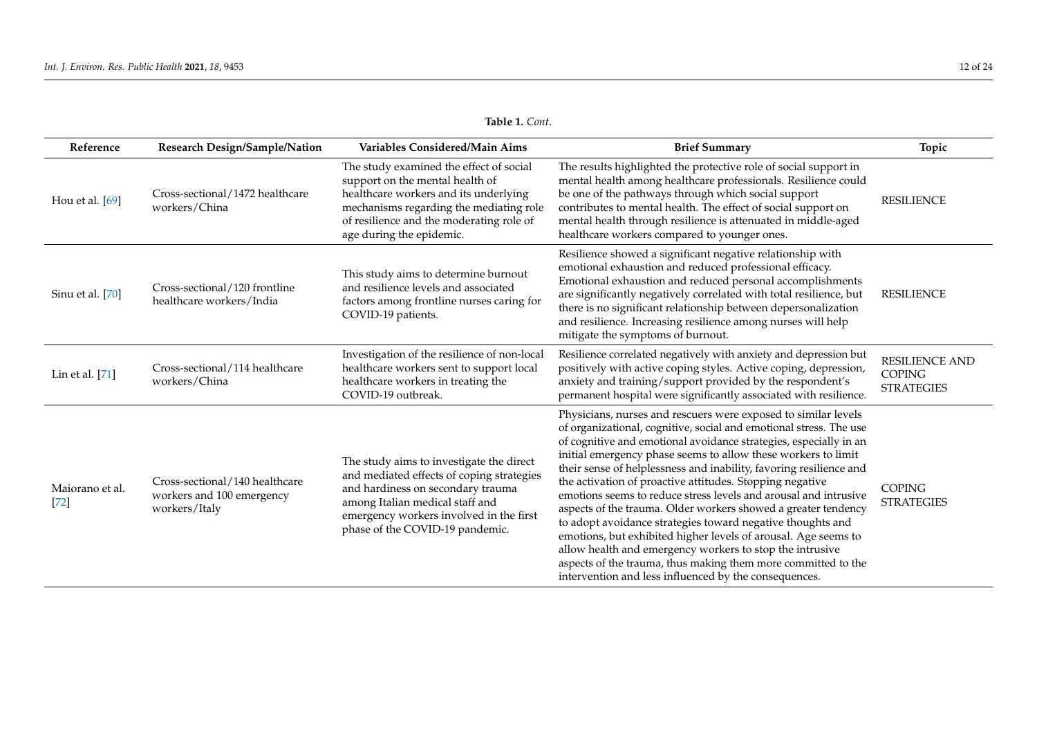| Reference                 | Research Design/Sample/Nation                                                | Variables Considered/Main Aims                                                                                                                                                                                                              | <b>Brief Summary</b>                                                                                                                                                                                                                                                                                                                                                                                                                                                                                                                                                                                                                                                                                                                                                                                                                                                     | Topic                                                       |
|---------------------------|------------------------------------------------------------------------------|---------------------------------------------------------------------------------------------------------------------------------------------------------------------------------------------------------------------------------------------|--------------------------------------------------------------------------------------------------------------------------------------------------------------------------------------------------------------------------------------------------------------------------------------------------------------------------------------------------------------------------------------------------------------------------------------------------------------------------------------------------------------------------------------------------------------------------------------------------------------------------------------------------------------------------------------------------------------------------------------------------------------------------------------------------------------------------------------------------------------------------|-------------------------------------------------------------|
| Hou et al. [69]           | Cross-sectional/1472 healthcare<br>workers/China                             | The study examined the effect of social<br>support on the mental health of<br>healthcare workers and its underlying<br>mechanisms regarding the mediating role<br>of resilience and the moderating role of<br>age during the epidemic.      | The results highlighted the protective role of social support in<br>mental health among healthcare professionals. Resilience could<br>be one of the pathways through which social support<br>contributes to mental health. The effect of social support on<br>mental health through resilience is attenuated in middle-aged<br>healthcare workers compared to younger ones.                                                                                                                                                                                                                                                                                                                                                                                                                                                                                              | <b>RESILIENCE</b>                                           |
| Sinu et al. [70]          | Cross-sectional/120 frontline<br>healthcare workers/India                    | This study aims to determine burnout<br>and resilience levels and associated<br>factors among frontline nurses caring for<br>COVID-19 patients.                                                                                             | Resilience showed a significant negative relationship with<br>emotional exhaustion and reduced professional efficacy.<br>Emotional exhaustion and reduced personal accomplishments<br>are significantly negatively correlated with total resilience, but<br>there is no significant relationship between depersonalization<br>and resilience. Increasing resilience among nurses will help<br>mitigate the symptoms of burnout.                                                                                                                                                                                                                                                                                                                                                                                                                                          | <b>RESILIENCE</b>                                           |
| Lin et al. [71]           | Cross-sectional/114 healthcare<br>workers/China                              | Investigation of the resilience of non-local<br>healthcare workers sent to support local<br>healthcare workers in treating the<br>COVID-19 outbreak.                                                                                        | Resilience correlated negatively with anxiety and depression but<br>positively with active coping styles. Active coping, depression,<br>anxiety and training/support provided by the respondent's<br>permanent hospital were significantly associated with resilience.                                                                                                                                                                                                                                                                                                                                                                                                                                                                                                                                                                                                   | <b>RESILIENCE AND</b><br><b>COPING</b><br><b>STRATEGIES</b> |
| Maiorano et al.<br>$[72]$ | Cross-sectional/140 healthcare<br>workers and 100 emergency<br>workers/Italy | The study aims to investigate the direct<br>and mediated effects of coping strategies<br>and hardiness on secondary trauma<br>among Italian medical staff and<br>emergency workers involved in the first<br>phase of the COVID-19 pandemic. | Physicians, nurses and rescuers were exposed to similar levels<br>of organizational, cognitive, social and emotional stress. The use<br>of cognitive and emotional avoidance strategies, especially in an<br>initial emergency phase seems to allow these workers to limit<br>their sense of helplessness and inability, favoring resilience and<br>the activation of proactive attitudes. Stopping negative<br>emotions seems to reduce stress levels and arousal and intrusive<br>aspects of the trauma. Older workers showed a greater tendency<br>to adopt avoidance strategies toward negative thoughts and<br>emotions, but exhibited higher levels of arousal. Age seems to<br>allow health and emergency workers to stop the intrusive<br>aspects of the trauma, thus making them more committed to the<br>intervention and less influenced by the consequences. | <b>COPING</b><br><b>STRATEGIES</b>                          |

| <b>Table 1.</b> Cont. |  |  |
|-----------------------|--|--|
|-----------------------|--|--|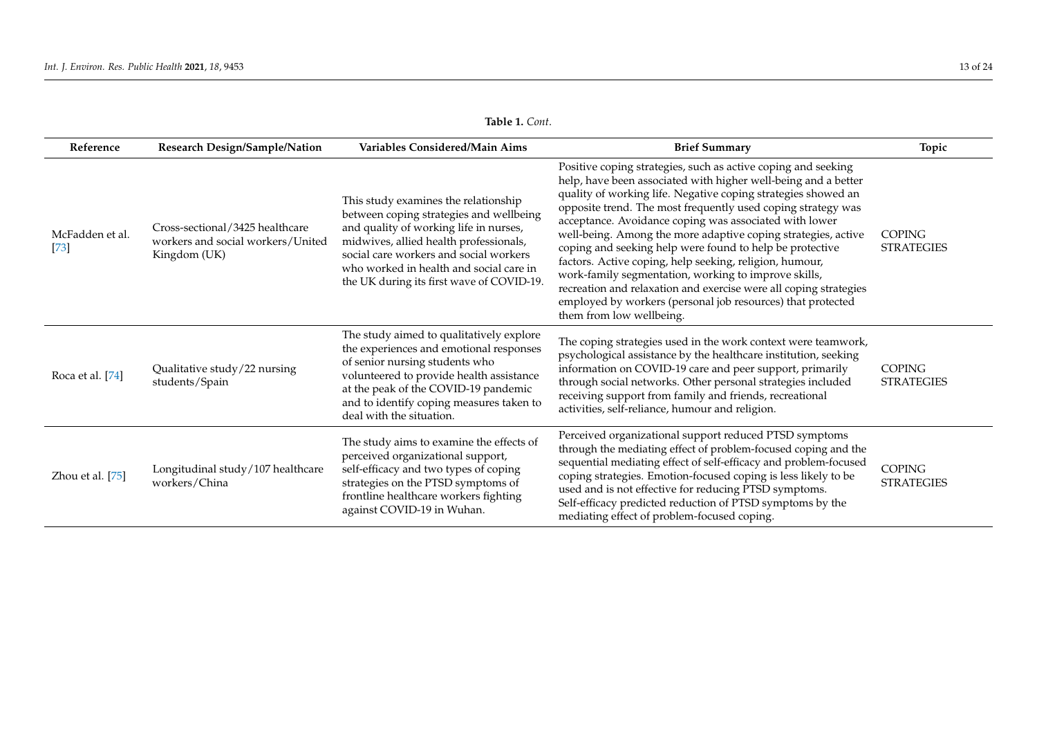<span id="page-12-0"></span>

| <b>Table 1.</b> Cont.     |                                                                                      |                                                                                                                                                                                                                                                                                                       |                                                                                                                                                                                                                                                                                                                                                                                                                                                                                                                                                                                                                                                                                                                                            |                                    |  |  |
|---------------------------|--------------------------------------------------------------------------------------|-------------------------------------------------------------------------------------------------------------------------------------------------------------------------------------------------------------------------------------------------------------------------------------------------------|--------------------------------------------------------------------------------------------------------------------------------------------------------------------------------------------------------------------------------------------------------------------------------------------------------------------------------------------------------------------------------------------------------------------------------------------------------------------------------------------------------------------------------------------------------------------------------------------------------------------------------------------------------------------------------------------------------------------------------------------|------------------------------------|--|--|
| Reference                 | Research Design/Sample/Nation                                                        | Variables Considered/Main Aims                                                                                                                                                                                                                                                                        | <b>Brief Summary</b>                                                                                                                                                                                                                                                                                                                                                                                                                                                                                                                                                                                                                                                                                                                       | Topic                              |  |  |
| McFadden et al.<br>$[73]$ | Cross-sectional/3425 healthcare<br>workers and social workers/United<br>Kingdom (UK) | This study examines the relationship<br>between coping strategies and wellbeing<br>and quality of working life in nurses,<br>midwives, allied health professionals,<br>social care workers and social workers<br>who worked in health and social care in<br>the UK during its first wave of COVID-19. | Positive coping strategies, such as active coping and seeking<br>help, have been associated with higher well-being and a better<br>quality of working life. Negative coping strategies showed an<br>opposite trend. The most frequently used coping strategy was<br>acceptance. Avoidance coping was associated with lower<br>well-being. Among the more adaptive coping strategies, active<br>coping and seeking help were found to help be protective<br>factors. Active coping, help seeking, religion, humour,<br>work-family segmentation, working to improve skills,<br>recreation and relaxation and exercise were all coping strategies<br>employed by workers (personal job resources) that protected<br>them from low wellbeing. | <b>COPING</b><br><b>STRATEGIES</b> |  |  |
| Roca et al. [74]          | Qualitative study/22 nursing<br>students/Spain                                       | The study aimed to qualitatively explore<br>the experiences and emotional responses<br>of senior nursing students who<br>volunteered to provide health assistance<br>at the peak of the COVID-19 pandemic<br>and to identify coping measures taken to<br>deal with the situation.                     | The coping strategies used in the work context were teamwork,<br>psychological assistance by the healthcare institution, seeking<br>information on COVID-19 care and peer support, primarily<br>through social networks. Other personal strategies included<br>receiving support from family and friends, recreational<br>activities, self-reliance, humour and religion.                                                                                                                                                                                                                                                                                                                                                                  | <b>COPING</b><br><b>STRATEGIES</b> |  |  |
| Zhou et al. [75]          | Longitudinal study/107 healthcare<br>workers/China                                   | The study aims to examine the effects of<br>perceived organizational support,<br>self-efficacy and two types of coping<br>strategies on the PTSD symptoms of<br>frontline healthcare workers fighting<br>against COVID-19 in Wuhan.                                                                   | Perceived organizational support reduced PTSD symptoms<br>through the mediating effect of problem-focused coping and the<br>sequential mediating effect of self-efficacy and problem-focused<br>coping strategies. Emotion-focused coping is less likely to be<br>used and is not effective for reducing PTSD symptoms.<br>Self-efficacy predicted reduction of PTSD symptoms by the<br>mediating effect of problem-focused coping.                                                                                                                                                                                                                                                                                                        | <b>COPING</b><br><b>STRATEGIES</b> |  |  |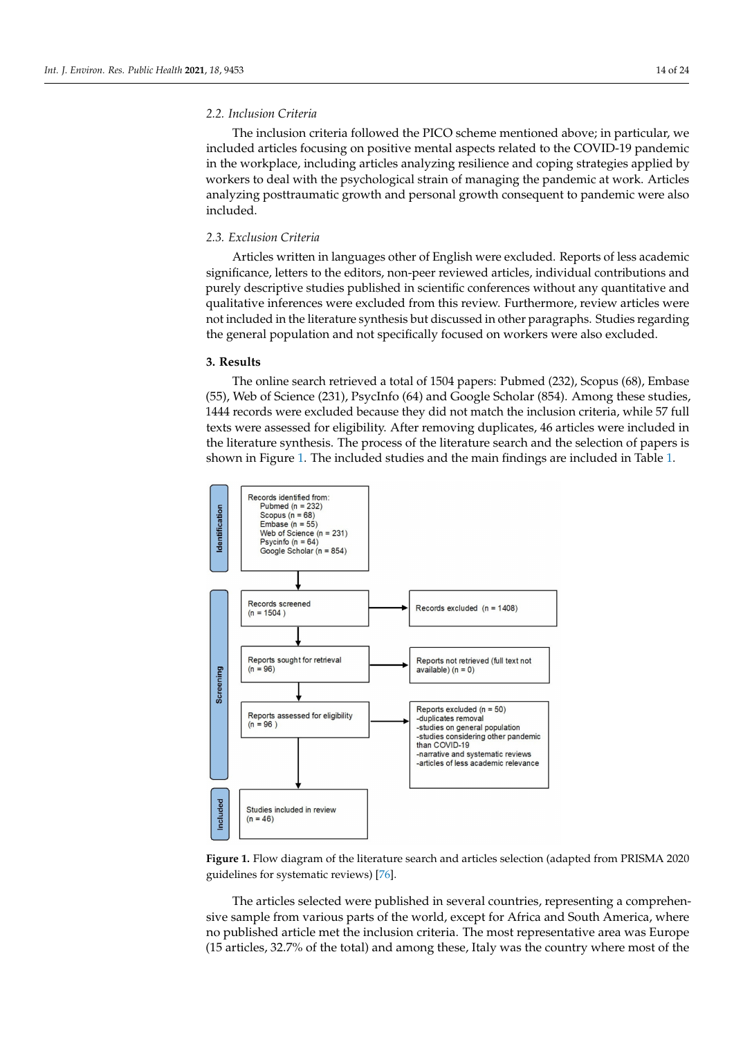# *2.2. Inclusion Criteria*

The inclusion criteria followed the PICO scheme mentioned above; in particular, we included articles focusing on positive mental aspects related to the COVID-19 pandemic in the workplace, including articles analyzing resilience and coping strategies applied by workers to deal with the psychological strain of managing the pandemic at work. Articles analyzing posttraumatic growth and personal growth consequent to pandemic were also included.

## *2.3. Exclusion Criteria*

Articles written in languages other of English were excluded. Reports of less academic significance, letters to the editors, non-peer reviewed articles, individual contributions and purely descriptive studies published in scientific conferences without any quantitative and qualitative inferences were excluded from this review. Furthermore, review articles were not included in the literature synthesis but discussed in other paragraphs. Studies regarding the general population and not specifically focused on workers were also excluded.

#### **3. Results**

The online search retrieved a total of 1504 papers: Pubmed (232), Scopus (68), Embase (55), Web of Science (231), PsycInfo (64) and Google Scholar (854). Among these studies, 1444 records were excluded because they did not match the inclusion criteria, while 57 full texts were assessed for eligibility. After removing duplicates, 46 articles were included in the literature synthesis. The process of the literature search and the selection of papers is shown in Figure [1.](#page-13-0) The included studies and the main findings are included in Table [1.](#page-12-0)

<span id="page-13-0"></span>

**Figure 1.** Flow diagram of the literature search and articles selection (adapted from PRISMA 2020 guidelines for systematic reviews) [\[76\]](#page-22-18).

The articles selected were published in several countries, representing a comprehensive sample from various parts of the world, except for Africa and South America, where no published article met the inclusion criteria. The most representative area was Europe (15 articles, 32.7% of the total) and among these, Italy was the country where most of the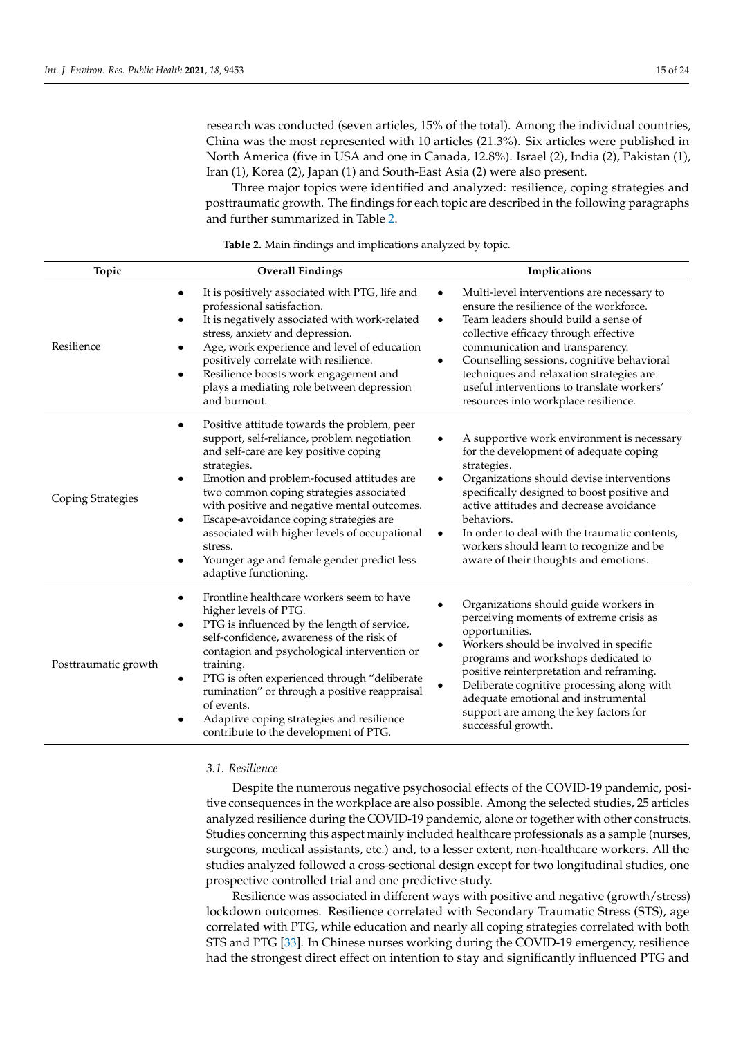research was conducted (seven articles, 15% of the total). Among the individual countries, China was the most represented with 10 articles (21.3%). Six articles were published in North America (five in USA and one in Canada, 12.8%). Israel (2), India (2), Pakistan (1), Iran (1), Korea (2), Japan (1) and South-East Asia (2) were also present.

Three major topics were identified and analyzed: resilience, coping strategies and posttraumatic growth. The findings for each topic are described in the following paragraphs and further summarized in Table [2.](#page-14-0)

<span id="page-14-0"></span>**Topic Overall Findings Implications** Resilience It is positively associated with PTG, life and professional satisfaction. It is negatively associated with work-related stress, anxiety and depression. • Age, work experience and level of education positively correlate with resilience. Resilience boosts work engagement and plays a mediating role between depression and burnout. • Multi-level interventions are necessary to ensure the resilience of the workforce. Team leaders should build a sense of collective efficacy through effective communication and transparency. • Counselling sessions, cognitive behavioral techniques and relaxation strategies are useful interventions to translate workers' resources into workplace resilience. Coping Strategies Positive attitude towards the problem, peer support, self-reliance, problem negotiation and self-care are key positive coping strategies. • Emotion and problem-focused attitudes are two common coping strategies associated with positive and negative mental outcomes. • Escape-avoidance coping strategies are associated with higher levels of occupational stress. • Younger age and female gender predict less adaptive functioning. • A supportive work environment is necessary for the development of adequate coping strategies. • Organizations should devise interventions specifically designed to boost positive and active attitudes and decrease avoidance behaviors. In order to deal with the traumatic contents, workers should learn to recognize and be aware of their thoughts and emotions. Posttraumatic growth • Frontline healthcare workers seem to have higher levels of PTG. PTG is influenced by the length of service, self-confidence, awareness of the risk of contagion and psychological intervention or training. PTG is often experienced through "deliberate rumination" or through a positive reappraisal of events. • Adaptive coping strategies and resilience contribute to the development of PTG. • Organizations should guide workers in perceiving moments of extreme crisis as opportunities. • Workers should be involved in specific programs and workshops dedicated to positive reinterpretation and reframing. • Deliberate cognitive processing along with adequate emotional and instrumental support are among the key factors for successful growth.

**Table 2.** Main findings and implications analyzed by topic.

#### *3.1. Resilience*

Despite the numerous negative psychosocial effects of the COVID-19 pandemic, positive consequences in the workplace are also possible. Among the selected studies, 25 articles analyzed resilience during the COVID-19 pandemic, alone or together with other constructs. Studies concerning this aspect mainly included healthcare professionals as a sample (nurses, surgeons, medical assistants, etc.) and, to a lesser extent, non-healthcare workers. All the studies analyzed followed a cross-sectional design except for two longitudinal studies, one prospective controlled trial and one predictive study.

Resilience was associated in different ways with positive and negative (growth/stress) lockdown outcomes. Resilience correlated with Secondary Traumatic Stress (STS), age correlated with PTG, while education and nearly all coping strategies correlated with both STS and PTG [\[33\]](#page-21-25). In Chinese nurses working during the COVID-19 emergency, resilience had the strongest direct effect on intention to stay and significantly influenced PTG and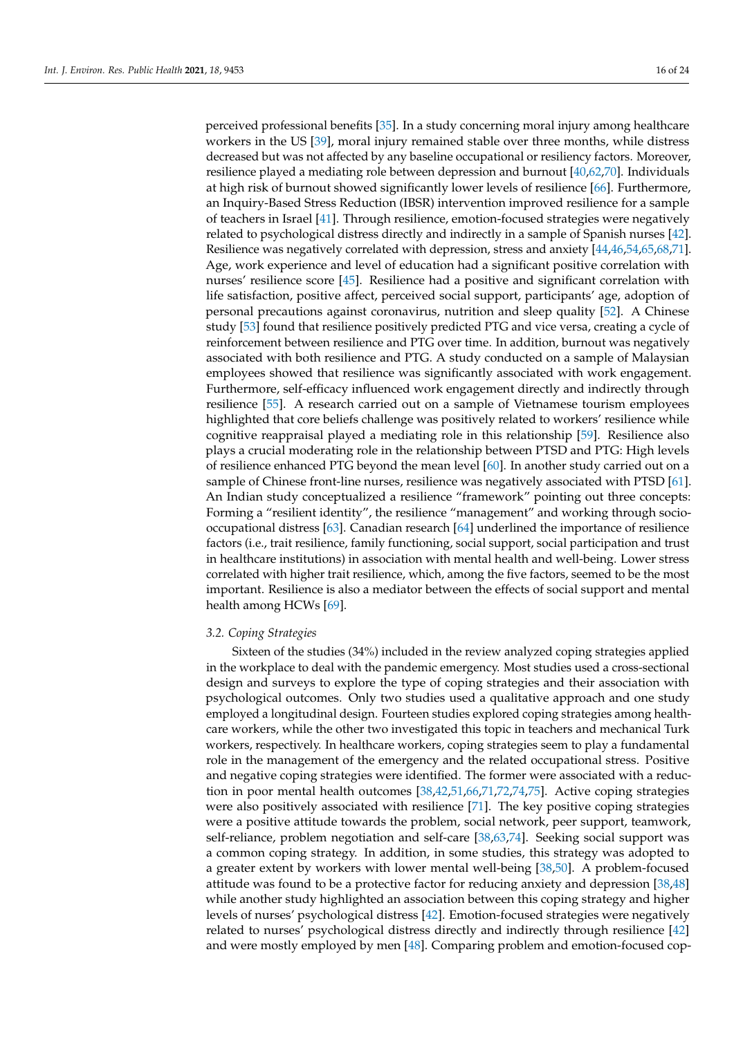perceived professional benefits [\[35\]](#page-21-26). In a study concerning moral injury among healthcare workers in the US [\[39\]](#page-21-27), moral injury remained stable over three months, while distress decreased but was not affected by any baseline occupational or resiliency factors. Moreover, resilience played a mediating role between depression and burnout [\[40](#page-21-28)[,62](#page-22-19)[,70\]](#page-22-20). Individuals at high risk of burnout showed significantly lower levels of resilience [\[66\]](#page-22-21). Furthermore, an Inquiry-Based Stress Reduction (IBSR) intervention improved resilience for a sample of teachers in Israel [\[41\]](#page-21-29). Through resilience, emotion-focused strategies were negatively related to psychological distress directly and indirectly in a sample of Spanish nurses [\[42\]](#page-21-30). Resilience was negatively correlated with depression, stress and anxiety [\[44](#page-21-31)[,46,](#page-21-32)[54,](#page-21-33)[65,](#page-22-22)[68](#page-22-23)[,71\]](#page-22-24). Age, work experience and level of education had a significant positive correlation with nurses' resilience score [\[45\]](#page-21-34). Resilience had a positive and significant correlation with life satisfaction, positive affect, perceived social support, participants' age, adoption of personal precautions against coronavirus, nutrition and sleep quality [\[52\]](#page-21-35). A Chinese study [\[53\]](#page-21-36) found that resilience positively predicted PTG and vice versa, creating a cycle of reinforcement between resilience and PTG over time. In addition, burnout was negatively associated with both resilience and PTG. A study conducted on a sample of Malaysian employees showed that resilience was significantly associated with work engagement. Furthermore, self-efficacy influenced work engagement directly and indirectly through resilience [\[55\]](#page-21-37). A research carried out on a sample of Vietnamese tourism employees highlighted that core beliefs challenge was positively related to workers' resilience while cognitive reappraisal played a mediating role in this relationship [\[59\]](#page-22-25). Resilience also plays a crucial moderating role in the relationship between PTSD and PTG: High levels of resilience enhanced PTG beyond the mean level [\[60\]](#page-22-26). In another study carried out on a sample of Chinese front-line nurses, resilience was negatively associated with PTSD [\[61\]](#page-22-27). An Indian study conceptualized a resilience "framework" pointing out three concepts: Forming a "resilient identity", the resilience "management" and working through sociooccupational distress [\[63\]](#page-22-28). Canadian research [\[64\]](#page-22-29) underlined the importance of resilience factors (i.e., trait resilience, family functioning, social support, social participation and trust in healthcare institutions) in association with mental health and well-being. Lower stress correlated with higher trait resilience, which, among the five factors, seemed to be the most important. Resilience is also a mediator between the effects of social support and mental health among HCWs [\[69\]](#page-22-30).

#### *3.2. Coping Strategies*

Sixteen of the studies (34%) included in the review analyzed coping strategies applied in the workplace to deal with the pandemic emergency. Most studies used a cross-sectional design and surveys to explore the type of coping strategies and their association with psychological outcomes. Only two studies used a qualitative approach and one study employed a longitudinal design. Fourteen studies explored coping strategies among healthcare workers, while the other two investigated this topic in teachers and mechanical Turk workers, respectively. In healthcare workers, coping strategies seem to play a fundamental role in the management of the emergency and the related occupational stress. Positive and negative coping strategies were identified. The former were associated with a reduction in poor mental health outcomes [\[38](#page-21-38)[,42](#page-21-30)[,51](#page-21-39)[,66](#page-22-21)[,71](#page-22-24)[,72](#page-22-31)[,74](#page-22-32)[,75\]](#page-22-33). Active coping strategies were also positively associated with resilience [\[71\]](#page-22-24). The key positive coping strategies were a positive attitude towards the problem, social network, peer support, teamwork, self-reliance, problem negotiation and self-care [\[38,](#page-21-38)[63](#page-22-28)[,74\]](#page-22-32). Seeking social support was a common coping strategy. In addition, in some studies, this strategy was adopted to a greater extent by workers with lower mental well-being [\[38](#page-21-38)[,50\]](#page-21-40). A problem-focused attitude was found to be a protective factor for reducing anxiety and depression [\[38](#page-21-38)[,48\]](#page-21-41) while another study highlighted an association between this coping strategy and higher levels of nurses' psychological distress [\[42\]](#page-21-30). Emotion-focused strategies were negatively related to nurses' psychological distress directly and indirectly through resilience [\[42\]](#page-21-30) and were mostly employed by men [\[48\]](#page-21-41). Comparing problem and emotion-focused cop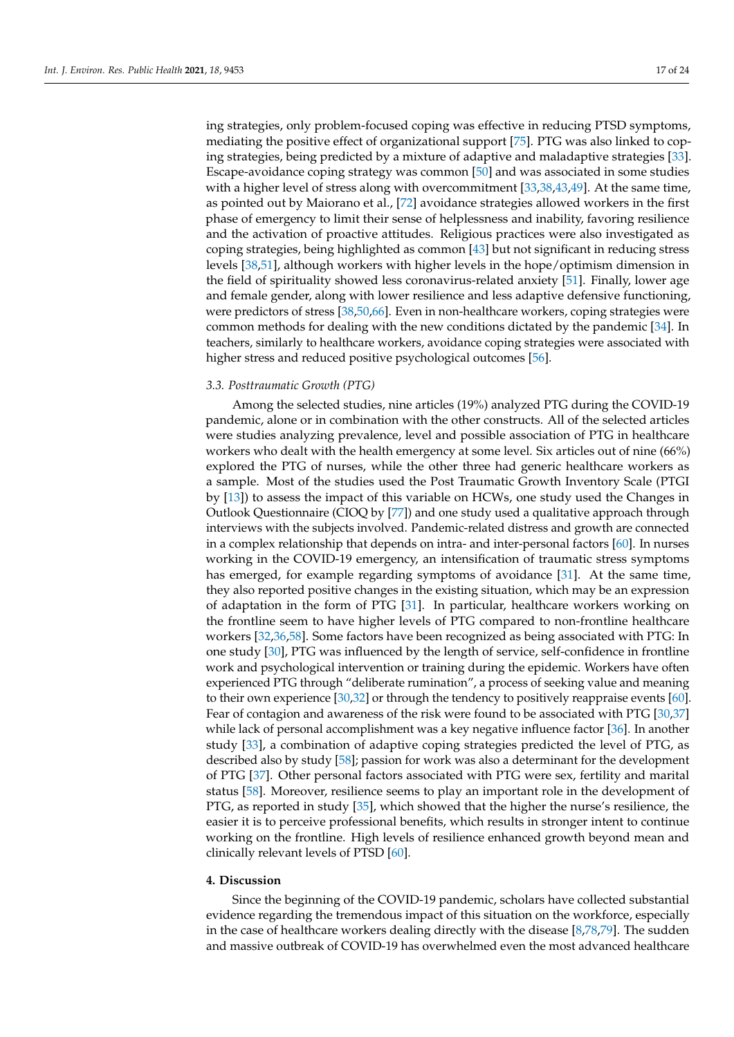ing strategies, only problem-focused coping was effective in reducing PTSD symptoms, mediating the positive effect of organizational support [\[75\]](#page-22-33). PTG was also linked to coping strategies, being predicted by a mixture of adaptive and maladaptive strategies [\[33\]](#page-21-25). Escape-avoidance coping strategy was common [\[50\]](#page-21-40) and was associated in some studies with a higher level of stress along with overcommitment [\[33,](#page-21-25)[38,](#page-21-38)[43,](#page-21-42)[49\]](#page-21-43). At the same time, as pointed out by Maiorano et al., [\[72\]](#page-22-31) avoidance strategies allowed workers in the first phase of emergency to limit their sense of helplessness and inability, favoring resilience and the activation of proactive attitudes. Religious practices were also investigated as coping strategies, being highlighted as common [\[43\]](#page-21-42) but not significant in reducing stress levels [\[38,](#page-21-38)[51\]](#page-21-39), although workers with higher levels in the hope/optimism dimension in the field of spirituality showed less coronavirus-related anxiety [\[51\]](#page-21-39). Finally, lower age and female gender, along with lower resilience and less adaptive defensive functioning, were predictors of stress [\[38,](#page-21-38)[50,](#page-21-40)[66\]](#page-22-21). Even in non-healthcare workers, coping strategies were common methods for dealing with the new conditions dictated by the pandemic [\[34\]](#page-21-44). In teachers, similarly to healthcare workers, avoidance coping strategies were associated with higher stress and reduced positive psychological outcomes [\[56\]](#page-21-45).

#### *3.3. Posttraumatic Growth (PTG)*

Among the selected studies, nine articles (19%) analyzed PTG during the COVID-19 pandemic, alone or in combination with the other constructs. All of the selected articles were studies analyzing prevalence, level and possible association of PTG in healthcare workers who dealt with the health emergency at some level. Six articles out of nine (66%) explored the PTG of nurses, while the other three had generic healthcare workers as a sample. Most of the studies used the Post Traumatic Growth Inventory Scale (PTGI by [\[13\]](#page-20-14)) to assess the impact of this variable on HCWs, one study used the Changes in Outlook Questionnaire (CIOQ by [\[77\]](#page-22-34)) and one study used a qualitative approach through interviews with the subjects involved. Pandemic-related distress and growth are connected in a complex relationship that depends on intra- and inter-personal factors [\[60\]](#page-22-26). In nurses working in the COVID-19 emergency, an intensification of traumatic stress symptoms has emerged, for example regarding symptoms of avoidance [\[31\]](#page-20-26). At the same time, they also reported positive changes in the existing situation, which may be an expression of adaptation in the form of PTG [\[31\]](#page-20-26). In particular, healthcare workers working on the frontline seem to have higher levels of PTG compared to non-frontline healthcare workers [\[32,](#page-20-27)[36,](#page-21-46)[58\]](#page-22-35). Some factors have been recognized as being associated with PTG: In one study [\[30\]](#page-20-28), PTG was influenced by the length of service, self-confidence in frontline work and psychological intervention or training during the epidemic. Workers have often experienced PTG through "deliberate rumination", a process of seeking value and meaning to their own experience [\[30](#page-20-28)[,32\]](#page-20-27) or through the tendency to positively reappraise events [\[60\]](#page-22-26). Fear of contagion and awareness of the risk were found to be associated with PTG [\[30,](#page-20-28)[37\]](#page-21-47) while lack of personal accomplishment was a key negative influence factor [\[36\]](#page-21-46). In another study [\[33\]](#page-21-25), a combination of adaptive coping strategies predicted the level of PTG, as described also by study [\[58\]](#page-22-35); passion for work was also a determinant for the development of PTG [\[37\]](#page-21-47). Other personal factors associated with PTG were sex, fertility and marital status [\[58\]](#page-22-35). Moreover, resilience seems to play an important role in the development of PTG, as reported in study [\[35\]](#page-21-26), which showed that the higher the nurse's resilience, the easier it is to perceive professional benefits, which results in stronger intent to continue working on the frontline. High levels of resilience enhanced growth beyond mean and clinically relevant levels of PTSD [\[60\]](#page-22-26).

# **4. Discussion**

Since the beginning of the COVID-19 pandemic, scholars have collected substantial evidence regarding the tremendous impact of this situation on the workforce, especially in the case of healthcare workers dealing directly with the disease [\[8,](#page-20-2)[78,](#page-22-36)[79\]](#page-22-37). The sudden and massive outbreak of COVID-19 has overwhelmed even the most advanced healthcare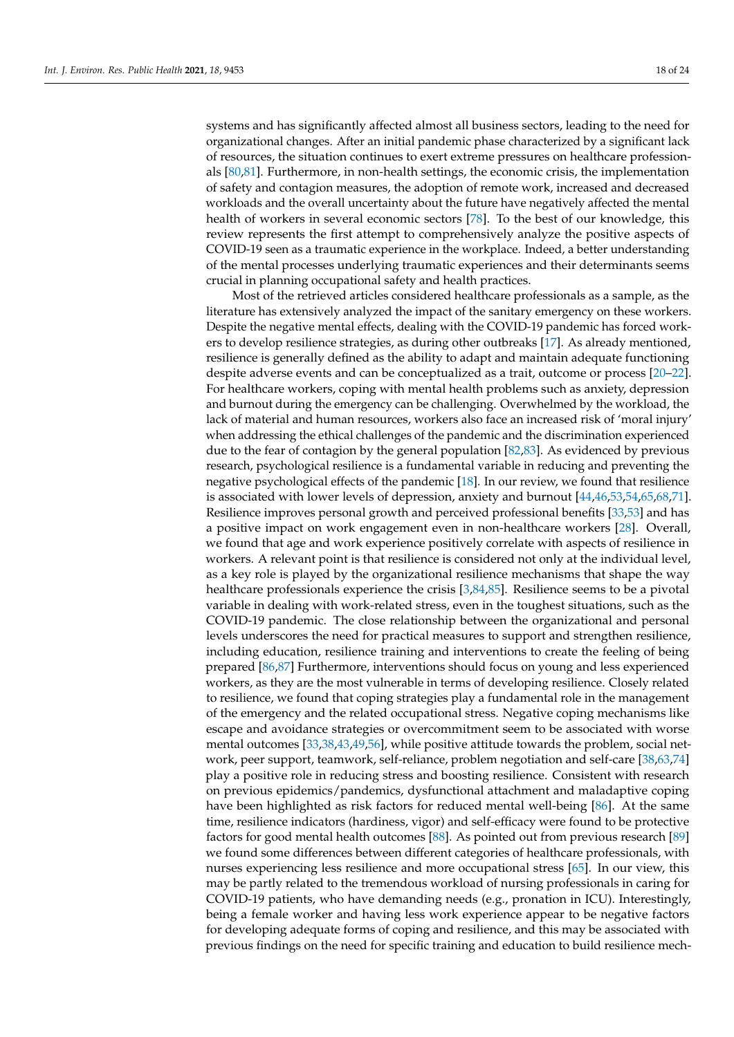systems and has significantly affected almost all business sectors, leading to the need for organizational changes. After an initial pandemic phase characterized by a significant lack of resources, the situation continues to exert extreme pressures on healthcare professionals [\[80](#page-23-0)[,81\]](#page-23-1). Furthermore, in non-health settings, the economic crisis, the implementation of safety and contagion measures, the adoption of remote work, increased and decreased workloads and the overall uncertainty about the future have negatively affected the mental health of workers in several economic sectors [\[78\]](#page-22-36). To the best of our knowledge, this review represents the first attempt to comprehensively analyze the positive aspects of COVID-19 seen as a traumatic experience in the workplace. Indeed, a better understanding of the mental processes underlying traumatic experiences and their determinants seems crucial in planning occupational safety and health practices.

Most of the retrieved articles considered healthcare professionals as a sample, as the literature has extensively analyzed the impact of the sanitary emergency on these workers. Despite the negative mental effects, dealing with the COVID-19 pandemic has forced workers to develop resilience strategies, as during other outbreaks [\[17\]](#page-20-8). As already mentioned, resilience is generally defined as the ability to adapt and maintain adequate functioning despite adverse events and can be conceptualized as a trait, outcome or process [\[20](#page-20-12)[–22\]](#page-20-13). For healthcare workers, coping with mental health problems such as anxiety, depression and burnout during the emergency can be challenging. Overwhelmed by the workload, the lack of material and human resources, workers also face an increased risk of 'moral injury' when addressing the ethical challenges of the pandemic and the discrimination experienced due to the fear of contagion by the general population [\[82](#page-23-2)[,83\]](#page-23-3). As evidenced by previous research, psychological resilience is a fundamental variable in reducing and preventing the negative psychological effects of the pandemic [\[18\]](#page-20-10). In our review, we found that resilience is associated with lower levels of depression, anxiety and burnout [\[44,](#page-21-31)[46,](#page-21-32)[53,](#page-21-36)[54,](#page-21-33)[65,](#page-22-22)[68,](#page-22-23)[71\]](#page-22-24). Resilience improves personal growth and perceived professional benefits [\[33](#page-21-25)[,53\]](#page-21-36) and has a positive impact on work engagement even in non-healthcare workers [\[28\]](#page-20-21). Overall, we found that age and work experience positively correlate with aspects of resilience in workers. A relevant point is that resilience is considered not only at the individual level, as a key role is played by the organizational resilience mechanisms that shape the way healthcare professionals experience the crisis [\[3,](#page-19-2)[84,](#page-23-4)[85\]](#page-23-5). Resilience seems to be a pivotal variable in dealing with work-related stress, even in the toughest situations, such as the COVID-19 pandemic. The close relationship between the organizational and personal levels underscores the need for practical measures to support and strengthen resilience, including education, resilience training and interventions to create the feeling of being prepared [\[86,](#page-23-6)[87\]](#page-23-7) Furthermore, interventions should focus on young and less experienced workers, as they are the most vulnerable in terms of developing resilience. Closely related to resilience, we found that coping strategies play a fundamental role in the management of the emergency and the related occupational stress. Negative coping mechanisms like escape and avoidance strategies or overcommitment seem to be associated with worse mental outcomes [\[33,](#page-21-25)[38,](#page-21-38)[43,](#page-21-42)[49,](#page-21-43)[56\]](#page-21-45), while positive attitude towards the problem, social network, peer support, teamwork, self-reliance, problem negotiation and self-care [\[38](#page-21-38)[,63](#page-22-28)[,74\]](#page-22-32) play a positive role in reducing stress and boosting resilience. Consistent with research on previous epidemics/pandemics, dysfunctional attachment and maladaptive coping have been highlighted as risk factors for reduced mental well-being [\[86\]](#page-23-6). At the same time, resilience indicators (hardiness, vigor) and self-efficacy were found to be protective factors for good mental health outcomes [\[88\]](#page-23-8). As pointed out from previous research [\[89\]](#page-23-9) we found some differences between different categories of healthcare professionals, with nurses experiencing less resilience and more occupational stress [\[65\]](#page-22-22). In our view, this may be partly related to the tremendous workload of nursing professionals in caring for COVID-19 patients, who have demanding needs (e.g., pronation in ICU). Interestingly, being a female worker and having less work experience appear to be negative factors for developing adequate forms of coping and resilience, and this may be associated with previous findings on the need for specific training and education to build resilience mech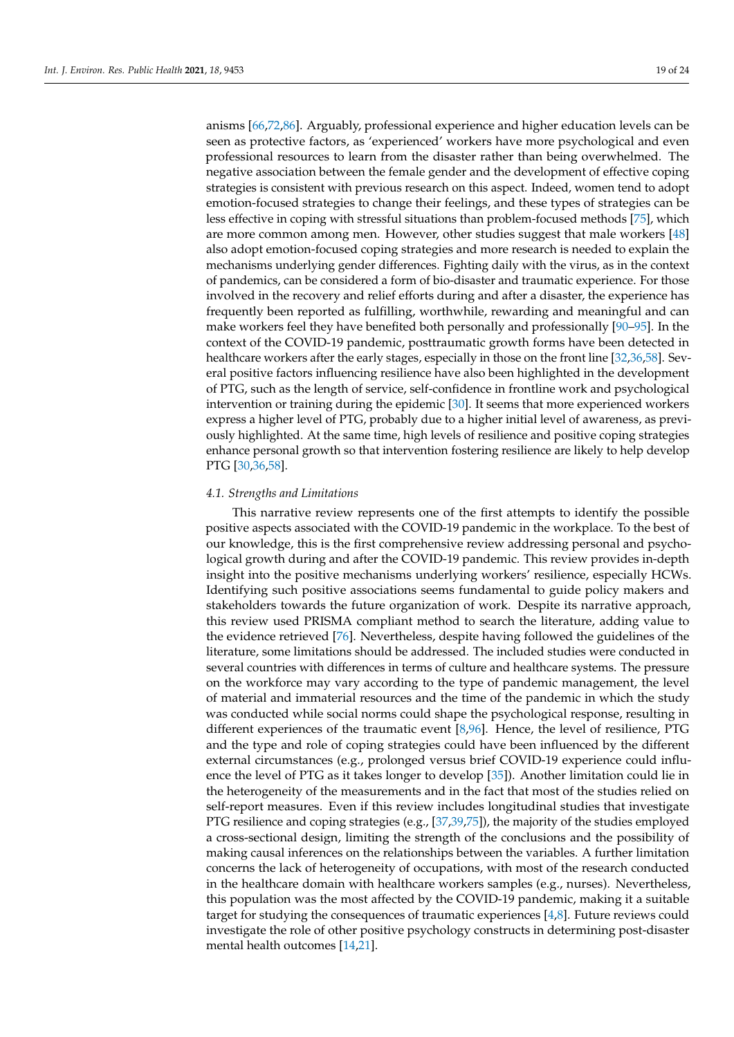anisms [\[66,](#page-22-21)[72,](#page-22-31)[86\]](#page-23-6). Arguably, professional experience and higher education levels can be seen as protective factors, as 'experienced' workers have more psychological and even professional resources to learn from the disaster rather than being overwhelmed. The negative association between the female gender and the development of effective coping strategies is consistent with previous research on this aspect. Indeed, women tend to adopt emotion-focused strategies to change their feelings, and these types of strategies can be less effective in coping with stressful situations than problem-focused methods [\[75\]](#page-22-33), which are more common among men. However, other studies suggest that male workers [\[48\]](#page-21-41) also adopt emotion-focused coping strategies and more research is needed to explain the mechanisms underlying gender differences. Fighting daily with the virus, as in the context of pandemics, can be considered a form of bio-disaster and traumatic experience. For those involved in the recovery and relief efforts during and after a disaster, the experience has frequently been reported as fulfilling, worthwhile, rewarding and meaningful and can make workers feel they have benefited both personally and professionally [\[90–](#page-23-10)[95\]](#page-23-11). In the context of the COVID-19 pandemic, posttraumatic growth forms have been detected in healthcare workers after the early stages, especially in those on the front line [\[32](#page-20-27)[,36,](#page-21-46)[58\]](#page-22-35). Several positive factors influencing resilience have also been highlighted in the development of PTG, such as the length of service, self-confidence in frontline work and psychological intervention or training during the epidemic [\[30\]](#page-20-28). It seems that more experienced workers express a higher level of PTG, probably due to a higher initial level of awareness, as previously highlighted. At the same time, high levels of resilience and positive coping strategies enhance personal growth so that intervention fostering resilience are likely to help develop PTG [\[30](#page-20-28)[,36,](#page-21-46)[58\]](#page-22-35).

## *4.1. Strengths and Limitations*

This narrative review represents one of the first attempts to identify the possible positive aspects associated with the COVID-19 pandemic in the workplace. To the best of our knowledge, this is the first comprehensive review addressing personal and psychological growth during and after the COVID-19 pandemic. This review provides in-depth insight into the positive mechanisms underlying workers' resilience, especially HCWs. Identifying such positive associations seems fundamental to guide policy makers and stakeholders towards the future organization of work. Despite its narrative approach, this review used PRISMA compliant method to search the literature, adding value to the evidence retrieved [\[76\]](#page-22-18). Nevertheless, despite having followed the guidelines of the literature, some limitations should be addressed. The included studies were conducted in several countries with differences in terms of culture and healthcare systems. The pressure on the workforce may vary according to the type of pandemic management, the level of material and immaterial resources and the time of the pandemic in which the study was conducted while social norms could shape the psychological response, resulting in different experiences of the traumatic event [\[8](#page-20-2)[,96\]](#page-23-12). Hence, the level of resilience, PTG and the type and role of coping strategies could have been influenced by the different external circumstances (e.g., prolonged versus brief COVID-19 experience could influence the level of PTG as it takes longer to develop [\[35\]](#page-21-26)). Another limitation could lie in the heterogeneity of the measurements and in the fact that most of the studies relied on self-report measures. Even if this review includes longitudinal studies that investigate PTG resilience and coping strategies (e.g., [\[37,](#page-21-47)[39](#page-21-27)[,75\]](#page-22-33)), the majority of the studies employed a cross-sectional design, limiting the strength of the conclusions and the possibility of making causal inferences on the relationships between the variables. A further limitation concerns the lack of heterogeneity of occupations, with most of the research conducted in the healthcare domain with healthcare workers samples (e.g., nurses). Nevertheless, this population was the most affected by the COVID-19 pandemic, making it a suitable target for studying the consequences of traumatic experiences [\[4,](#page-19-3)[8\]](#page-20-2). Future reviews could investigate the role of other positive psychology constructs in determining post-disaster mental health outcomes [\[14](#page-20-7)[,21\]](#page-20-29).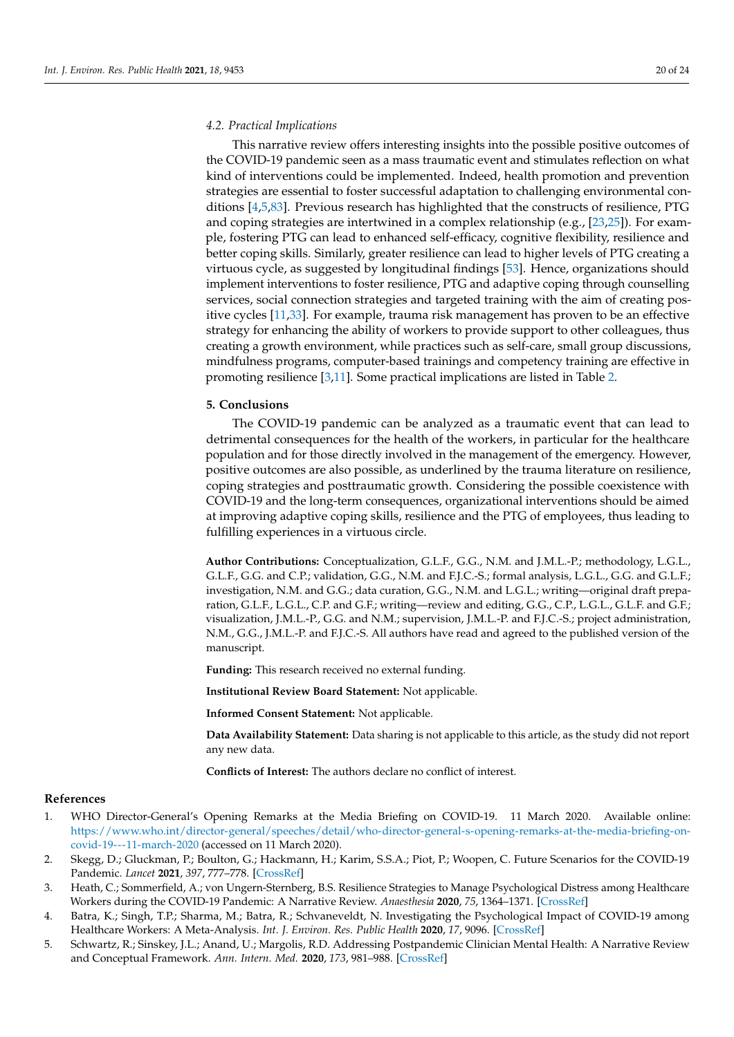#### *4.2. Practical Implications*

This narrative review offers interesting insights into the possible positive outcomes of the COVID-19 pandemic seen as a mass traumatic event and stimulates reflection on what kind of interventions could be implemented. Indeed, health promotion and prevention strategies are essential to foster successful adaptation to challenging environmental conditions [\[4,](#page-19-3)[5,](#page-19-4)[83\]](#page-23-3). Previous research has highlighted that the constructs of resilience, PTG and coping strategies are intertwined in a complex relationship (e.g.,  $[23,25]$  $[23,25]$ ). For example, fostering PTG can lead to enhanced self-efficacy, cognitive flexibility, resilience and better coping skills. Similarly, greater resilience can lead to higher levels of PTG creating a virtuous cycle, as suggested by longitudinal findings [\[53\]](#page-21-36). Hence, organizations should implement interventions to foster resilience, PTG and adaptive coping through counselling services, social connection strategies and targeted training with the aim of creating positive cycles [\[11](#page-20-5)[,33\]](#page-21-25). For example, trauma risk management has proven to be an effective strategy for enhancing the ability of workers to provide support to other colleagues, thus creating a growth environment, while practices such as self-care, small group discussions, mindfulness programs, computer-based trainings and competency training are effective in promoting resilience [\[3](#page-19-2)[,11\]](#page-20-5). Some practical implications are listed in Table [2.](#page-14-0)

#### **5. Conclusions**

The COVID-19 pandemic can be analyzed as a traumatic event that can lead to detrimental consequences for the health of the workers, in particular for the healthcare population and for those directly involved in the management of the emergency. However, positive outcomes are also possible, as underlined by the trauma literature on resilience, coping strategies and posttraumatic growth. Considering the possible coexistence with COVID-19 and the long-term consequences, organizational interventions should be aimed at improving adaptive coping skills, resilience and the PTG of employees, thus leading to fulfilling experiences in a virtuous circle.

**Author Contributions:** Conceptualization, G.L.F., G.G., N.M. and J.M.L.-P.; methodology, L.G.L., G.L.F., G.G. and C.P.; validation, G.G., N.M. and F.J.C.-S.; formal analysis, L.G.L., G.G. and G.L.F.; investigation, N.M. and G.G.; data curation, G.G., N.M. and L.G.L.; writing—original draft preparation, G.L.F., L.G.L., C.P. and G.F.; writing—review and editing, G.G., C.P., L.G.L., G.L.F. and G.F.; visualization, J.M.L.-P., G.G. and N.M.; supervision, J.M.L.-P. and F.J.C.-S.; project administration, N.M., G.G., J.M.L.-P. and F.J.C.-S. All authors have read and agreed to the published version of the manuscript.

**Funding:** This research received no external funding.

**Institutional Review Board Statement:** Not applicable.

**Informed Consent Statement:** Not applicable.

**Data Availability Statement:** Data sharing is not applicable to this article, as the study did not report any new data.

**Conflicts of Interest:** The authors declare no conflict of interest.

#### **References**

- <span id="page-19-0"></span>1. WHO Director-General's Opening Remarks at the Media Briefing on COVID-19. 11 March 2020. Available online: [https://www.who.int/director-general/speeches/detail/who-director-general-s-opening-remarks-at-the-media-briefing-on](https://www.who.int/director-general/speeches/detail/who-director-general-s-opening-remarks-at-the-media-briefing-on-covid-19---11-march-2020)[covid-19---11-march-2020](https://www.who.int/director-general/speeches/detail/who-director-general-s-opening-remarks-at-the-media-briefing-on-covid-19---11-march-2020) (accessed on 11 March 2020).
- <span id="page-19-1"></span>2. Skegg, D.; Gluckman, P.; Boulton, G.; Hackmann, H.; Karim, S.S.A.; Piot, P.; Woopen, C. Future Scenarios for the COVID-19 Pandemic. *Lancet* **2021**, *397*, 777–778. [\[CrossRef\]](http://doi.org/10.1016/S0140-6736(21)00424-4)
- <span id="page-19-2"></span>3. Heath, C.; Sommerfield, A.; von Ungern-Sternberg, B.S. Resilience Strategies to Manage Psychological Distress among Healthcare Workers during the COVID-19 Pandemic: A Narrative Review. *Anaesthesia* **2020**, *75*, 1364–1371. [\[CrossRef\]](http://doi.org/10.1111/anae.15180)
- <span id="page-19-3"></span>4. Batra, K.; Singh, T.P.; Sharma, M.; Batra, R.; Schvaneveldt, N. Investigating the Psychological Impact of COVID-19 among Healthcare Workers: A Meta-Analysis. *Int. J. Environ. Res. Public Health* **2020**, *17*, 9096. [\[CrossRef\]](http://doi.org/10.3390/ijerph17239096)
- <span id="page-19-4"></span>5. Schwartz, R.; Sinskey, J.L.; Anand, U.; Margolis, R.D. Addressing Postpandemic Clinician Mental Health: A Narrative Review and Conceptual Framework. *Ann. Intern. Med.* **2020**, *173*, 981–988. [\[CrossRef\]](http://doi.org/10.7326/M20-4199)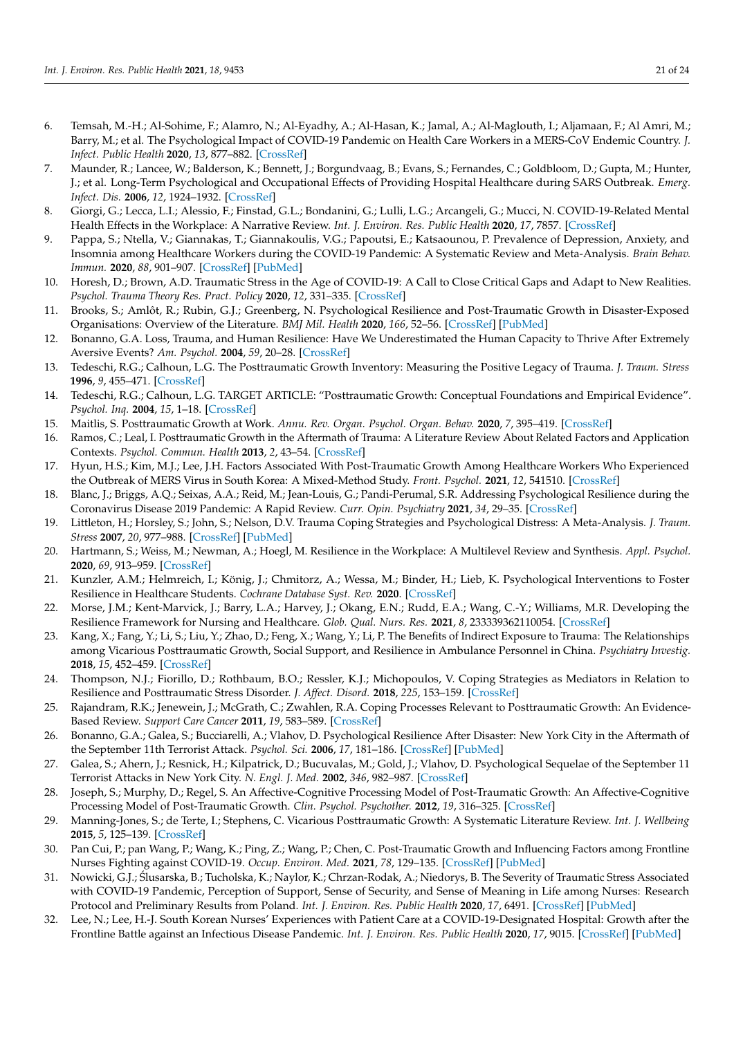- <span id="page-20-0"></span>6. Temsah, M.-H.; Al-Sohime, F.; Alamro, N.; Al-Eyadhy, A.; Al-Hasan, K.; Jamal, A.; Al-Maglouth, I.; Aljamaan, F.; Al Amri, M.; Barry, M.; et al. The Psychological Impact of COVID-19 Pandemic on Health Care Workers in a MERS-CoV Endemic Country. *J. Infect. Public Health* **2020**, *13*, 877–882. [\[CrossRef\]](http://doi.org/10.1016/j.jiph.2020.05.021)
- <span id="page-20-1"></span>7. Maunder, R.; Lancee, W.; Balderson, K.; Bennett, J.; Borgundvaag, B.; Evans, S.; Fernandes, C.; Goldbloom, D.; Gupta, M.; Hunter, J.; et al. Long-Term Psychological and Occupational Effects of Providing Hospital Healthcare during SARS Outbreak. *Emerg. Infect. Dis.* **2006**, *12*, 1924–1932. [\[CrossRef\]](http://doi.org/10.3201/eid1212.060584)
- <span id="page-20-2"></span>8. Giorgi, G.; Lecca, L.I.; Alessio, F.; Finstad, G.L.; Bondanini, G.; Lulli, L.G.; Arcangeli, G.; Mucci, N. COVID-19-Related Mental Health Effects in the Workplace: A Narrative Review. *Int. J. Environ. Res. Public Health* **2020**, *17*, 7857. [\[CrossRef\]](http://doi.org/10.3390/ijerph17217857)
- <span id="page-20-3"></span>9. Pappa, S.; Ntella, V.; Giannakas, T.; Giannakoulis, V.G.; Papoutsi, E.; Katsaounou, P. Prevalence of Depression, Anxiety, and Insomnia among Healthcare Workers during the COVID-19 Pandemic: A Systematic Review and Meta-Analysis. *Brain Behav. Immun.* **2020**, *88*, 901–907. [\[CrossRef\]](http://doi.org/10.1016/j.bbi.2020.05.026) [\[PubMed\]](http://www.ncbi.nlm.nih.gov/pubmed/32437915)
- <span id="page-20-4"></span>10. Horesh, D.; Brown, A.D. Traumatic Stress in the Age of COVID-19: A Call to Close Critical Gaps and Adapt to New Realities. *Psychol. Trauma Theory Res. Pract. Policy* **2020**, *12*, 331–335. [\[CrossRef\]](http://doi.org/10.1037/tra0000592)
- <span id="page-20-5"></span>11. Brooks, S.; Amlôt, R.; Rubin, G.J.; Greenberg, N. Psychological Resilience and Post-Traumatic Growth in Disaster-Exposed Organisations: Overview of the Literature. *BMJ Mil. Health* **2020**, *166*, 52–56. [\[CrossRef\]](http://doi.org/10.1136/jramc-2017-000876) [\[PubMed\]](http://www.ncbi.nlm.nih.gov/pubmed/29420257)
- <span id="page-20-9"></span>12. Bonanno, G.A. Loss, Trauma, and Human Resilience: Have We Underestimated the Human Capacity to Thrive After Extremely Aversive Events? *Am. Psychol.* **2004**, *59*, 20–28. [\[CrossRef\]](http://doi.org/10.1037/0003-066X.59.1.20)
- <span id="page-20-14"></span>13. Tedeschi, R.G.; Calhoun, L.G. The Posttraumatic Growth Inventory: Measuring the Positive Legacy of Trauma. *J. Traum. Stress* **1996**, *9*, 455–471. [\[CrossRef\]](http://doi.org/10.1002/jts.2490090305)
- <span id="page-20-7"></span>14. Tedeschi, R.G.; Calhoun, L.G. TARGET ARTICLE: "Posttraumatic Growth: Conceptual Foundations and Empirical Evidence". *Psychol. Inq.* **2004**, *15*, 1–18. [\[CrossRef\]](http://doi.org/10.1207/s15327965pli1501_01)
- <span id="page-20-18"></span>15. Maitlis, S. Posttraumatic Growth at Work. *Annu. Rev. Organ. Psychol. Organ. Behav.* **2020**, *7*, 395–419. [\[CrossRef\]](http://doi.org/10.1146/annurev-orgpsych-012119-044932)
- <span id="page-20-6"></span>16. Ramos, C.; Leal, I. Posttraumatic Growth in the Aftermath of Trauma: A Literature Review About Related Factors and Application Contexts. *Psychol. Commun. Health* **2013**, *2*, 43–54. [\[CrossRef\]](http://doi.org/10.5964/pch.v2i1.39)
- <span id="page-20-8"></span>17. Hyun, H.S.; Kim, M.J.; Lee, J.H. Factors Associated With Post-Traumatic Growth Among Healthcare Workers Who Experienced the Outbreak of MERS Virus in South Korea: A Mixed-Method Study. *Front. Psychol.* **2021**, *12*, 541510. [\[CrossRef\]](http://doi.org/10.3389/fpsyg.2021.541510)
- <span id="page-20-10"></span>18. Blanc, J.; Briggs, A.Q.; Seixas, A.A.; Reid, M.; Jean-Louis, G.; Pandi-Perumal, S.R. Addressing Psychological Resilience during the Coronavirus Disease 2019 Pandemic: A Rapid Review. *Curr. Opin. Psychiatry* **2021**, *34*, 29–35. [\[CrossRef\]](http://doi.org/10.1097/YCO.0000000000000665)
- <span id="page-20-11"></span>19. Littleton, H.; Horsley, S.; John, S.; Nelson, D.V. Trauma Coping Strategies and Psychological Distress: A Meta-Analysis. *J. Traum. Stress* **2007**, *20*, 977–988. [\[CrossRef\]](http://doi.org/10.1002/jts.20276) [\[PubMed\]](http://www.ncbi.nlm.nih.gov/pubmed/18157893)
- <span id="page-20-23"></span><span id="page-20-12"></span>20. Hartmann, S.; Weiss, M.; Newman, A.; Hoegl, M. Resilience in the Workplace: A Multilevel Review and Synthesis. *Appl. Psychol.* **2020**, *69*, 913–959. [\[CrossRef\]](http://doi.org/10.1111/apps.12191)
- <span id="page-20-29"></span><span id="page-20-24"></span>21. Kunzler, A.M.; Helmreich, I.; König, J.; Chmitorz, A.; Wessa, M.; Binder, H.; Lieb, K. Psychological Interventions to Foster Resilience in Healthcare Students. *Cochrane Database Syst. Rev.* **2020**. [\[CrossRef\]](http://doi.org/10.1002/14651858.CD013684)
- <span id="page-20-25"></span><span id="page-20-13"></span>22. Morse, J.M.; Kent-Marvick, J.; Barry, L.A.; Harvey, J.; Okang, E.N.; Rudd, E.A.; Wang, C.-Y.; Williams, M.R. Developing the Resilience Framework for Nursing and Healthcare. *Glob. Qual. Nurs. Res.* **2021**, *8*, 233339362110054. [\[CrossRef\]](http://doi.org/10.1177/23333936211005475)
- <span id="page-20-15"></span>23. Kang, X.; Fang, Y.; Li, S.; Liu, Y.; Zhao, D.; Feng, X.; Wang, Y.; Li, P. The Benefits of Indirect Exposure to Trauma: The Relationships among Vicarious Posttraumatic Growth, Social Support, and Resilience in Ambulance Personnel in China. *Psychiatry Investig.* **2018**, *15*, 452–459. [\[CrossRef\]](http://doi.org/10.30773/pi.2017.11.08.1)
- <span id="page-20-16"></span>24. Thompson, N.J.; Fiorillo, D.; Rothbaum, B.O.; Ressler, K.J.; Michopoulos, V. Coping Strategies as Mediators in Relation to Resilience and Posttraumatic Stress Disorder. *J. Affect. Disord.* **2018**, *225*, 153–159. [\[CrossRef\]](http://doi.org/10.1016/j.jad.2017.08.049)
- <span id="page-20-17"></span>25. Rajandram, R.K.; Jenewein, J.; McGrath, C.; Zwahlen, R.A. Coping Processes Relevant to Posttraumatic Growth: An Evidence-Based Review. *Support Care Cancer* **2011**, *19*, 583–589. [\[CrossRef\]](http://doi.org/10.1007/s00520-011-1105-0)
- <span id="page-20-19"></span>26. Bonanno, G.A.; Galea, S.; Bucciarelli, A.; Vlahov, D. Psychological Resilience After Disaster: New York City in the Aftermath of the September 11th Terrorist Attack. *Psychol. Sci.* **2006**, *17*, 181–186. [\[CrossRef\]](http://doi.org/10.1111/j.1467-9280.2006.01682.x) [\[PubMed\]](http://www.ncbi.nlm.nih.gov/pubmed/16507055)
- <span id="page-20-20"></span>27. Galea, S.; Ahern, J.; Resnick, H.; Kilpatrick, D.; Bucuvalas, M.; Gold, J.; Vlahov, D. Psychological Sequelae of the September 11 Terrorist Attacks in New York City. *N. Engl. J. Med.* **2002**, *346*, 982–987. [\[CrossRef\]](http://doi.org/10.1056/NEJMsa013404)
- <span id="page-20-21"></span>28. Joseph, S.; Murphy, D.; Regel, S. An Affective-Cognitive Processing Model of Post-Traumatic Growth: An Affective-Cognitive Processing Model of Post-Traumatic Growth. *Clin. Psychol. Psychother.* **2012**, *19*, 316–325. [\[CrossRef\]](http://doi.org/10.1002/cpp.1798)
- <span id="page-20-22"></span>29. Manning-Jones, S.; de Terte, I.; Stephens, C. Vicarious Posttraumatic Growth: A Systematic Literature Review. *Int. J. Wellbeing* **2015**, *5*, 125–139. [\[CrossRef\]](http://doi.org/10.5502/ijw.v5i2.8)
- <span id="page-20-28"></span>30. Pan Cui, P.; pan Wang, P.; Wang, K.; Ping, Z.; Wang, P.; Chen, C. Post-Traumatic Growth and Influencing Factors among Frontline Nurses Fighting against COVID-19. *Occup. Environ. Med.* **2021**, *78*, 129–135. [\[CrossRef\]](http://doi.org/10.1136/oemed-2020-106540) [\[PubMed\]](http://www.ncbi.nlm.nih.gov/pubmed/33060188)
- <span id="page-20-26"></span>31. Nowicki, G.J.; Slusarska, B.; Tucholska, K.; Naylor, K.; Chrzan-Rodak, A.; Niedorys, B. The Severity of Traumatic Stress Associated ´ with COVID-19 Pandemic, Perception of Support, Sense of Security, and Sense of Meaning in Life among Nurses: Research Protocol and Preliminary Results from Poland. *Int. J. Environ. Res. Public Health* **2020**, *17*, 6491. [\[CrossRef\]](http://doi.org/10.3390/ijerph17186491) [\[PubMed\]](http://www.ncbi.nlm.nih.gov/pubmed/32906590)
- <span id="page-20-27"></span>32. Lee, N.; Lee, H.-J. South Korean Nurses' Experiences with Patient Care at a COVID-19-Designated Hospital: Growth after the Frontline Battle against an Infectious Disease Pandemic. *Int. J. Environ. Res. Public Health* **2020**, *17*, 9015. [\[CrossRef\]](http://doi.org/10.3390/ijerph17239015) [\[PubMed\]](http://www.ncbi.nlm.nih.gov/pubmed/33287343)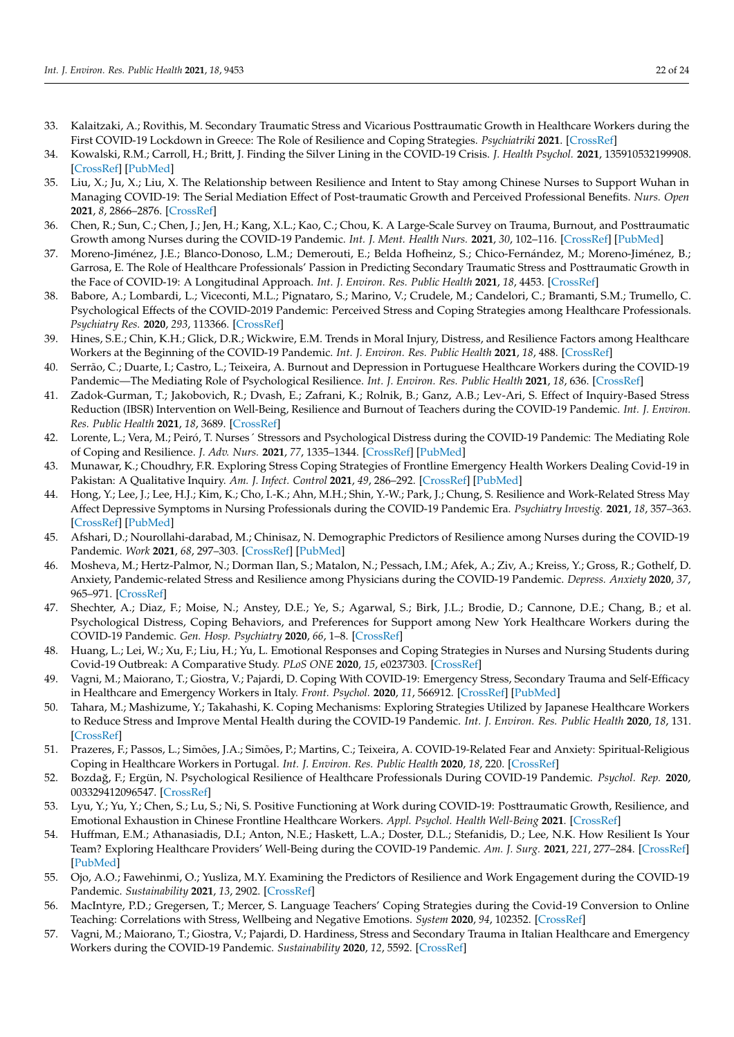- <span id="page-21-25"></span><span id="page-21-9"></span><span id="page-21-8"></span><span id="page-21-7"></span><span id="page-21-6"></span><span id="page-21-5"></span><span id="page-21-4"></span><span id="page-21-3"></span><span id="page-21-2"></span><span id="page-21-1"></span><span id="page-21-0"></span>33. Kalaitzaki, A.; Rovithis, M. Secondary Traumatic Stress and Vicarious Posttraumatic Growth in Healthcare Workers during the First COVID-19 Lockdown in Greece: The Role of Resilience and Coping Strategies. *Psychiatriki* **2021**. [\[CrossRef\]](http://doi.org/10.22365/jpsych.2021.001)
- <span id="page-21-44"></span><span id="page-21-10"></span>34. Kowalski, R.M.; Carroll, H.; Britt, J. Finding the Silver Lining in the COVID-19 Crisis. *J. Health Psychol.* **2021**, 135910532199908. [\[CrossRef\]](http://doi.org/10.1177/1359105321999088) [\[PubMed\]](http://www.ncbi.nlm.nih.gov/pubmed/33645297)
- <span id="page-21-26"></span><span id="page-21-11"></span>35. Liu, X.; Ju, X.; Liu, X. The Relationship between Resilience and Intent to Stay among Chinese Nurses to Support Wuhan in Managing COVID-19: The Serial Mediation Effect of Post-traumatic Growth and Perceived Professional Benefits. *Nurs. Open* **2021**, *8*, 2866–2876. [\[CrossRef\]](http://doi.org/10.1002/nop2.874)
- <span id="page-21-46"></span><span id="page-21-12"></span>36. Chen, R.; Sun, C.; Chen, J.; Jen, H.; Kang, X.L.; Kao, C.; Chou, K. A Large-Scale Survey on Trauma, Burnout, and Posttraumatic Growth among Nurses during the COVID-19 Pandemic. *Int. J. Ment. Health Nurs.* **2021**, *30*, 102–116. [\[CrossRef\]](http://doi.org/10.1111/inm.12796) [\[PubMed\]](http://www.ncbi.nlm.nih.gov/pubmed/33107677)
- <span id="page-21-47"></span><span id="page-21-13"></span>37. Moreno-Jiménez, J.E.; Blanco-Donoso, L.M.; Demerouti, E.; Belda Hofheinz, S.; Chico-Fernández, M.; Moreno-Jiménez, B.; Garrosa, E. The Role of Healthcare Professionals' Passion in Predicting Secondary Traumatic Stress and Posttraumatic Growth in the Face of COVID-19: A Longitudinal Approach. *Int. J. Environ. Res. Public Health* **2021**, *18*, 4453. [\[CrossRef\]](http://doi.org/10.3390/ijerph18094453)
- <span id="page-21-38"></span><span id="page-21-14"></span>38. Babore, A.; Lombardi, L.; Viceconti, M.L.; Pignataro, S.; Marino, V.; Crudele, M.; Candelori, C.; Bramanti, S.M.; Trumello, C. Psychological Effects of the COVID-2019 Pandemic: Perceived Stress and Coping Strategies among Healthcare Professionals. *Psychiatry Res.* **2020**, *293*, 113366. [\[CrossRef\]](http://doi.org/10.1016/j.psychres.2020.113366)
- <span id="page-21-27"></span><span id="page-21-15"></span>39. Hines, S.E.; Chin, K.H.; Glick, D.R.; Wickwire, E.M. Trends in Moral Injury, Distress, and Resilience Factors among Healthcare Workers at the Beginning of the COVID-19 Pandemic. *Int. J. Environ. Res. Public Health* **2021**, *18*, 488. [\[CrossRef\]](http://doi.org/10.3390/ijerph18020488)
- <span id="page-21-28"></span><span id="page-21-16"></span>40. Serrão, C.; Duarte, I.; Castro, L.; Teixeira, A. Burnout and Depression in Portuguese Healthcare Workers during the COVID-19 Pandemic—The Mediating Role of Psychological Resilience. *Int. J. Environ. Res. Public Health* **2021**, *18*, 636. [\[CrossRef\]](http://doi.org/10.3390/ijerph18020636)
- <span id="page-21-29"></span><span id="page-21-17"></span>41. Zadok-Gurman, T.; Jakobovich, R.; Dvash, E.; Zafrani, K.; Rolnik, B.; Ganz, A.B.; Lev-Ari, S. Effect of Inquiry-Based Stress Reduction (IBSR) Intervention on Well-Being, Resilience and Burnout of Teachers during the COVID-19 Pandemic. *Int. J. Environ. Res. Public Health* **2021**, *18*, 3689. [\[CrossRef\]](http://doi.org/10.3390/ijerph18073689)
- <span id="page-21-30"></span><span id="page-21-18"></span>42. Lorente, L.; Vera, M.; Peiró, T. Nurses´ Stressors and Psychological Distress during the COVID-19 Pandemic: The Mediating Role of Coping and Resilience. *J. Adv. Nurs.* **2021**, *77*, 1335–1344. [\[CrossRef\]](http://doi.org/10.1111/jan.14695) [\[PubMed\]](http://www.ncbi.nlm.nih.gov/pubmed/33210768)
- <span id="page-21-42"></span><span id="page-21-19"></span>43. Munawar, K.; Choudhry, F.R. Exploring Stress Coping Strategies of Frontline Emergency Health Workers Dealing Covid-19 in Pakistan: A Qualitative Inquiry. *Am. J. Infect. Control* **2021**, *49*, 286–292. [\[CrossRef\]](http://doi.org/10.1016/j.ajic.2020.06.214) [\[PubMed\]](http://www.ncbi.nlm.nih.gov/pubmed/32649990)
- <span id="page-21-31"></span><span id="page-21-20"></span>44. Hong, Y.; Lee, J.; Lee, H.J.; Kim, K.; Cho, I.-K.; Ahn, M.H.; Shin, Y.-W.; Park, J.; Chung, S. Resilience and Work-Related Stress May Affect Depressive Symptoms in Nursing Professionals during the COVID-19 Pandemic Era. *Psychiatry Investig.* **2021**, *18*, 357–363. [\[CrossRef\]](http://doi.org/10.30773/pi.2021.0019) [\[PubMed\]](http://www.ncbi.nlm.nih.gov/pubmed/33951781)
- <span id="page-21-34"></span><span id="page-21-21"></span>45. Afshari, D.; Nourollahi-darabad, M.; Chinisaz, N. Demographic Predictors of Resilience among Nurses during the COVID-19 Pandemic. *Work* **2021**, *68*, 297–303. [\[CrossRef\]](http://doi.org/10.3233/WOR-203376) [\[PubMed\]](http://www.ncbi.nlm.nih.gov/pubmed/33492260)
- <span id="page-21-32"></span><span id="page-21-22"></span>46. Mosheva, M.; Hertz-Palmor, N.; Dorman Ilan, S.; Matalon, N.; Pessach, I.M.; Afek, A.; Ziv, A.; Kreiss, Y.; Gross, R.; Gothelf, D. Anxiety, Pandemic-related Stress and Resilience among Physicians during the COVID-19 Pandemic. *Depress. Anxiety* **2020**, *37*, 965–971. [\[CrossRef\]](http://doi.org/10.1002/da.23085)
- <span id="page-21-24"></span><span id="page-21-23"></span>47. Shechter, A.; Diaz, F.; Moise, N.; Anstey, D.E.; Ye, S.; Agarwal, S.; Birk, J.L.; Brodie, D.; Cannone, D.E.; Chang, B.; et al. Psychological Distress, Coping Behaviors, and Preferences for Support among New York Healthcare Workers during the COVID-19 Pandemic. *Gen. Hosp. Psychiatry* **2020**, *66*, 1–8. [\[CrossRef\]](http://doi.org/10.1016/j.genhosppsych.2020.06.007)
- <span id="page-21-41"></span>48. Huang, L.; Lei, W.; Xu, F.; Liu, H.; Yu, L. Emotional Responses and Coping Strategies in Nurses and Nursing Students during Covid-19 Outbreak: A Comparative Study. *PLoS ONE* **2020**, *15*, e0237303. [\[CrossRef\]](http://doi.org/10.1371/journal.pone.0237303)
- <span id="page-21-43"></span>49. Vagni, M.; Maiorano, T.; Giostra, V.; Pajardi, D. Coping With COVID-19: Emergency Stress, Secondary Trauma and Self-Efficacy in Healthcare and Emergency Workers in Italy. *Front. Psychol.* **2020**, *11*, 566912. [\[CrossRef\]](http://doi.org/10.3389/fpsyg.2020.566912) [\[PubMed\]](http://www.ncbi.nlm.nih.gov/pubmed/33013603)
- <span id="page-21-40"></span>50. Tahara, M.; Mashizume, Y.; Takahashi, K. Coping Mechanisms: Exploring Strategies Utilized by Japanese Healthcare Workers to Reduce Stress and Improve Mental Health during the COVID-19 Pandemic. *Int. J. Environ. Res. Public Health* **2020**, *18*, 131. [\[CrossRef\]](http://doi.org/10.3390/ijerph18010131)
- <span id="page-21-39"></span>51. Prazeres, F.; Passos, L.; Simões, J.A.; Simões, P.; Martins, C.; Teixeira, A. COVID-19-Related Fear and Anxiety: Spiritual-Religious Coping in Healthcare Workers in Portugal. *Int. J. Environ. Res. Public Health* **2020**, *18*, 220. [\[CrossRef\]](http://doi.org/10.3390/ijerph18010220)
- <span id="page-21-35"></span>52. Bozda ˘g, F.; Ergün, N. Psychological Resilience of Healthcare Professionals During COVID-19 Pandemic. *Psychol. Rep.* **2020**, 003329412096547. [\[CrossRef\]](http://doi.org/10.1177/0033294120965477)
- <span id="page-21-36"></span>53. Lyu, Y.; Yu, Y.; Chen, S.; Lu, S.; Ni, S. Positive Functioning at Work during COVID-19: Posttraumatic Growth, Resilience, and Emotional Exhaustion in Chinese Frontline Healthcare Workers. *Appl. Psychol. Health Well-Being* **2021**. [\[CrossRef\]](http://doi.org/10.1111/aphw.12276)
- <span id="page-21-33"></span>54. Huffman, E.M.; Athanasiadis, D.I.; Anton, N.E.; Haskett, L.A.; Doster, D.L.; Stefanidis, D.; Lee, N.K. How Resilient Is Your Team? Exploring Healthcare Providers' Well-Being during the COVID-19 Pandemic. *Am. J. Surg.* **2021**, *221*, 277–284. [\[CrossRef\]](http://doi.org/10.1016/j.amjsurg.2020.09.005) [\[PubMed\]](http://www.ncbi.nlm.nih.gov/pubmed/32994041)
- <span id="page-21-37"></span>55. Ojo, A.O.; Fawehinmi, O.; Yusliza, M.Y. Examining the Predictors of Resilience and Work Engagement during the COVID-19 Pandemic. *Sustainability* **2021**, *13*, 2902. [\[CrossRef\]](http://doi.org/10.3390/su13052902)
- <span id="page-21-45"></span>56. MacIntyre, P.D.; Gregersen, T.; Mercer, S. Language Teachers' Coping Strategies during the Covid-19 Conversion to Online Teaching: Correlations with Stress, Wellbeing and Negative Emotions. *System* **2020**, *94*, 102352. [\[CrossRef\]](http://doi.org/10.1016/j.system.2020.102352)
- 57. Vagni, M.; Maiorano, T.; Giostra, V.; Pajardi, D. Hardiness, Stress and Secondary Trauma in Italian Healthcare and Emergency Workers during the COVID-19 Pandemic. *Sustainability* **2020**, *12*, 5592. [\[CrossRef\]](http://doi.org/10.3390/su12145592)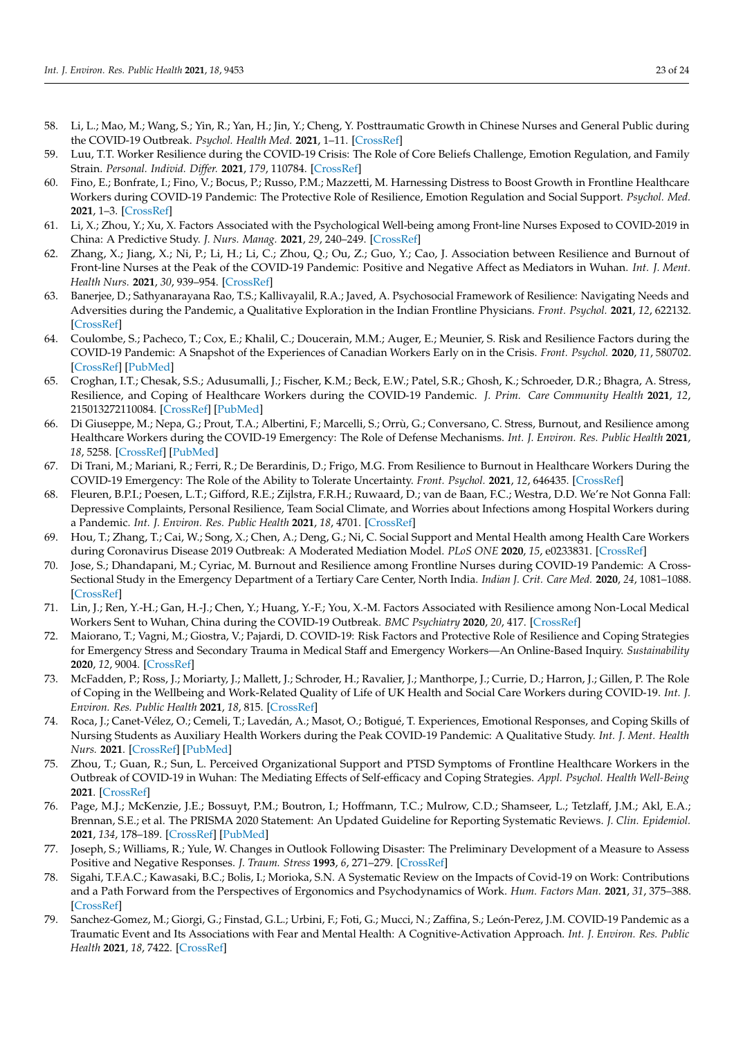- <span id="page-22-35"></span><span id="page-22-8"></span><span id="page-22-7"></span><span id="page-22-6"></span><span id="page-22-5"></span><span id="page-22-4"></span><span id="page-22-3"></span><span id="page-22-2"></span><span id="page-22-1"></span><span id="page-22-0"></span>58. Li, L.; Mao, M.; Wang, S.; Yin, R.; Yan, H.; Jin, Y.; Cheng, Y. Posttraumatic Growth in Chinese Nurses and General Public during the COVID-19 Outbreak. *Psychol. Health Med.* **2021**, 1–11. [\[CrossRef\]](http://doi.org/10.1080/13548506.2021.1897148)
- <span id="page-22-25"></span><span id="page-22-9"></span>59. Luu, T.T. Worker Resilience during the COVID-19 Crisis: The Role of Core Beliefs Challenge, Emotion Regulation, and Family Strain. *Personal. Individ. Differ.* **2021**, *179*, 110784. [\[CrossRef\]](http://doi.org/10.1016/j.paid.2021.110784)
- <span id="page-22-26"></span><span id="page-22-10"></span>60. Fino, E.; Bonfrate, I.; Fino, V.; Bocus, P.; Russo, P.M.; Mazzetti, M. Harnessing Distress to Boost Growth in Frontline Healthcare Workers during COVID-19 Pandemic: The Protective Role of Resilience, Emotion Regulation and Social Support. *Psychol. Med.* **2021**, 1–3. [\[CrossRef\]](http://doi.org/10.1017/S0033291721000519)
- <span id="page-22-27"></span><span id="page-22-11"></span>61. Li, X.; Zhou, Y.; Xu, X. Factors Associated with the Psychological Well-being among Front-line Nurses Exposed to COVID-2019 in China: A Predictive Study. *J. Nurs. Manag.* **2021**, *29*, 240–249. [\[CrossRef\]](http://doi.org/10.1111/jonm.13146)
- <span id="page-22-19"></span><span id="page-22-12"></span>62. Zhang, X.; Jiang, X.; Ni, P.; Li, H.; Li, C.; Zhou, Q.; Ou, Z.; Guo, Y.; Cao, J. Association between Resilience and Burnout of Front-line Nurses at the Peak of the COVID-19 Pandemic: Positive and Negative Affect as Mediators in Wuhan. *Int. J. Ment. Health Nurs.* **2021**, *30*, 939–954. [\[CrossRef\]](http://doi.org/10.1111/inm.12847)
- <span id="page-22-28"></span><span id="page-22-13"></span>63. Banerjee, D.; Sathyanarayana Rao, T.S.; Kallivayalil, R.A.; Javed, A. Psychosocial Framework of Resilience: Navigating Needs and Adversities during the Pandemic, a Qualitative Exploration in the Indian Frontline Physicians. *Front. Psychol.* **2021**, *12*, 622132. [\[CrossRef\]](http://doi.org/10.3389/fpsyg.2021.622132)
- <span id="page-22-29"></span><span id="page-22-14"></span>64. Coulombe, S.; Pacheco, T.; Cox, E.; Khalil, C.; Doucerain, M.M.; Auger, E.; Meunier, S. Risk and Resilience Factors during the COVID-19 Pandemic: A Snapshot of the Experiences of Canadian Workers Early on in the Crisis. *Front. Psychol.* **2020**, *11*, 580702. [\[CrossRef\]](http://doi.org/10.3389/fpsyg.2020.580702) [\[PubMed\]](http://www.ncbi.nlm.nih.gov/pubmed/33343455)
- <span id="page-22-22"></span><span id="page-22-15"></span>65. Croghan, I.T.; Chesak, S.S.; Adusumalli, J.; Fischer, K.M.; Beck, E.W.; Patel, S.R.; Ghosh, K.; Schroeder, D.R.; Bhagra, A. Stress, Resilience, and Coping of Healthcare Workers during the COVID-19 Pandemic. *J. Prim. Care Community Health* **2021**, *12*, 215013272110084. [\[CrossRef\]](http://doi.org/10.1177/21501327211008448) [\[PubMed\]](http://www.ncbi.nlm.nih.gov/pubmed/33834900)
- <span id="page-22-21"></span><span id="page-22-16"></span>66. Di Giuseppe, M.; Nepa, G.; Prout, T.A.; Albertini, F.; Marcelli, S.; Orrù, G.; Conversano, C. Stress, Burnout, and Resilience among Healthcare Workers during the COVID-19 Emergency: The Role of Defense Mechanisms. *Int. J. Environ. Res. Public Health* **2021**, *18*, 5258. [\[CrossRef\]](http://doi.org/10.3390/ijerph18105258) [\[PubMed\]](http://www.ncbi.nlm.nih.gov/pubmed/34069270)
- <span id="page-22-17"></span>67. Di Trani, M.; Mariani, R.; Ferri, R.; De Berardinis, D.; Frigo, M.G. From Resilience to Burnout in Healthcare Workers During the COVID-19 Emergency: The Role of the Ability to Tolerate Uncertainty. *Front. Psychol.* **2021**, *12*, 646435. [\[CrossRef\]](http://doi.org/10.3389/fpsyg.2021.646435)
- <span id="page-22-23"></span>68. Fleuren, B.P.I.; Poesen, L.T.; Gifford, R.E.; Zijlstra, F.R.H.; Ruwaard, D.; van de Baan, F.C.; Westra, D.D. We're Not Gonna Fall: Depressive Complaints, Personal Resilience, Team Social Climate, and Worries about Infections among Hospital Workers during a Pandemic. *Int. J. Environ. Res. Public Health* **2021**, *18*, 4701. [\[CrossRef\]](http://doi.org/10.3390/ijerph18094701)
- <span id="page-22-30"></span>69. Hou, T.; Zhang, T.; Cai, W.; Song, X.; Chen, A.; Deng, G.; Ni, C. Social Support and Mental Health among Health Care Workers during Coronavirus Disease 2019 Outbreak: A Moderated Mediation Model. *PLoS ONE* **2020**, *15*, e0233831. [\[CrossRef\]](http://doi.org/10.1371/journal.pone.0233831)
- <span id="page-22-20"></span>70. Jose, S.; Dhandapani, M.; Cyriac, M. Burnout and Resilience among Frontline Nurses during COVID-19 Pandemic: A Cross-Sectional Study in the Emergency Department of a Tertiary Care Center, North India. *Indian J. Crit. Care Med.* **2020**, *24*, 1081–1088. [\[CrossRef\]](http://doi.org/10.5005/jp-journals-10071-23667)
- <span id="page-22-24"></span>71. Lin, J.; Ren, Y.-H.; Gan, H.-J.; Chen, Y.; Huang, Y.-F.; You, X.-M. Factors Associated with Resilience among Non-Local Medical Workers Sent to Wuhan, China during the COVID-19 Outbreak. *BMC Psychiatry* **2020**, *20*, 417. [\[CrossRef\]](http://doi.org/10.1186/s12888-020-02821-8)
- <span id="page-22-31"></span>72. Maiorano, T.; Vagni, M.; Giostra, V.; Pajardi, D. COVID-19: Risk Factors and Protective Role of Resilience and Coping Strategies for Emergency Stress and Secondary Trauma in Medical Staff and Emergency Workers—An Online-Based Inquiry. *Sustainability* **2020**, *12*, 9004. [\[CrossRef\]](http://doi.org/10.3390/su12219004)
- 73. McFadden, P.; Ross, J.; Moriarty, J.; Mallett, J.; Schroder, H.; Ravalier, J.; Manthorpe, J.; Currie, D.; Harron, J.; Gillen, P. The Role of Coping in the Wellbeing and Work-Related Quality of Life of UK Health and Social Care Workers during COVID-19. *Int. J. Environ. Res. Public Health* **2021**, *18*, 815. [\[CrossRef\]](http://doi.org/10.3390/ijerph18020815)
- <span id="page-22-32"></span>74. Roca, J.; Canet-Vélez, O.; Cemeli, T.; Lavedán, A.; Masot, O.; Botigué, T. Experiences, Emotional Responses, and Coping Skills of Nursing Students as Auxiliary Health Workers during the Peak COVID-19 Pandemic: A Qualitative Study. *Int. J. Ment. Health Nurs.* **2021**. [\[CrossRef\]](http://doi.org/10.1111/inm.12858) [\[PubMed\]](http://www.ncbi.nlm.nih.gov/pubmed/33792160)
- <span id="page-22-33"></span>75. Zhou, T.; Guan, R.; Sun, L. Perceived Organizational Support and PTSD Symptoms of Frontline Healthcare Workers in the Outbreak of COVID-19 in Wuhan: The Mediating Effects of Self-efficacy and Coping Strategies. *Appl. Psychol. Health Well-Being* **2021**. [\[CrossRef\]](http://doi.org/10.1111/aphw.12267)
- <span id="page-22-18"></span>76. Page, M.J.; McKenzie, J.E.; Bossuyt, P.M.; Boutron, I.; Hoffmann, T.C.; Mulrow, C.D.; Shamseer, L.; Tetzlaff, J.M.; Akl, E.A.; Brennan, S.E.; et al. The PRISMA 2020 Statement: An Updated Guideline for Reporting Systematic Reviews. *J. Clin. Epidemiol.* **2021**, *134*, 178–189. [\[CrossRef\]](http://doi.org/10.1016/j.jclinepi.2021.03.001) [\[PubMed\]](http://www.ncbi.nlm.nih.gov/pubmed/33789819)
- <span id="page-22-34"></span>77. Joseph, S.; Williams, R.; Yule, W. Changes in Outlook Following Disaster: The Preliminary Development of a Measure to Assess Positive and Negative Responses. *J. Traum. Stress* **1993**, *6*, 271–279. [\[CrossRef\]](http://doi.org/10.1002/jts.2490060209)
- <span id="page-22-36"></span>78. Sigahi, T.F.A.C.; Kawasaki, B.C.; Bolis, I.; Morioka, S.N. A Systematic Review on the Impacts of Covid-19 on Work: Contributions and a Path Forward from the Perspectives of Ergonomics and Psychodynamics of Work. *Hum. Factors Man.* **2021**, *31*, 375–388. [\[CrossRef\]](http://doi.org/10.1002/hfm.20889)
- <span id="page-22-37"></span>79. Sanchez-Gomez, M.; Giorgi, G.; Finstad, G.L.; Urbini, F.; Foti, G.; Mucci, N.; Zaffina, S.; León-Perez, J.M. COVID-19 Pandemic as a Traumatic Event and Its Associations with Fear and Mental Health: A Cognitive-Activation Approach. *Int. J. Environ. Res. Public Health* **2021**, *18*, 7422. [\[CrossRef\]](http://doi.org/10.3390/ijerph18147422)